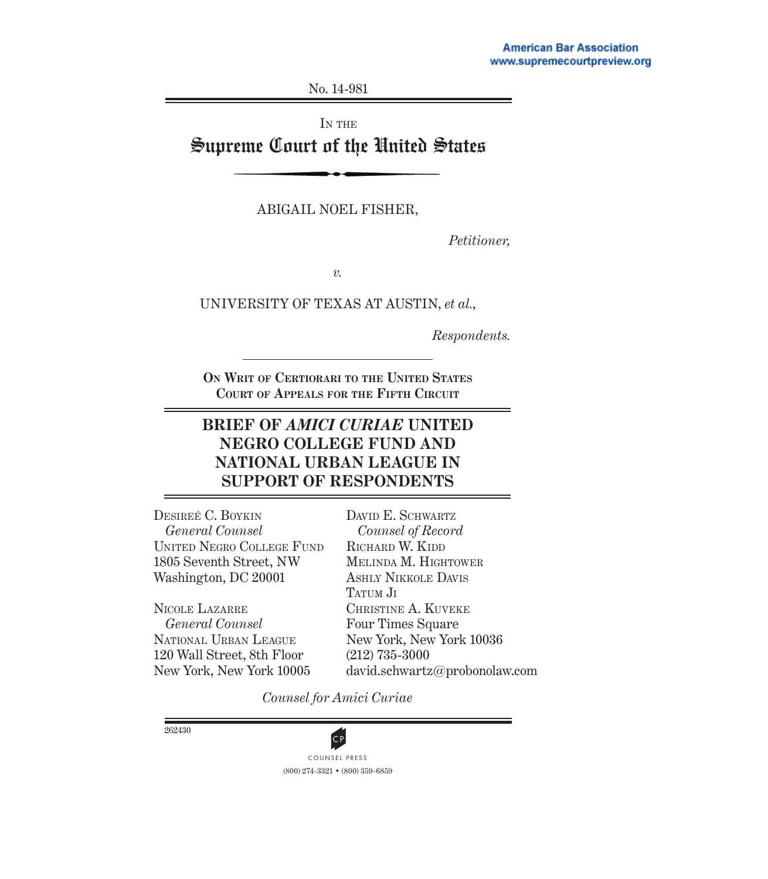No. 14-981

IN THE

Supreme Court of the United States

ABIGAIL NOEL FISHER,

*Petitioner,*

*v.*

UNIVERSITY OF TEXAS AT AUSTIN, *et al.*,

*Respondents.*

**On Writ of Certiorari to the United States Court of Appeals for the Fifth Circuit**

## **BRIEF OF** *AMICI CURIAE* **UNITED NEGRO COLLEGE FUND AND NATIONAL URBAN LEAGUE IN SUPPORT OF RESPONDENTS**

Desireé C. Boykin *General Counsel* United Negro College Fund 1805 Seventh Street, NW Washington, DC 20001

Nicole Lazarre *General Counsel* National Urban League 120 Wall Street, 8th Floor New York, New York 10005

DAVID E. SCHWARTZ *Counsel of Record* RICHARD W. KIDD Melinda M. Hightower Ashly Nikkole Davis TATUM JI Christine A. Kuveke Four Times Square New York, New York 10036 (212) 735-3000 david.schwartz@probonolaw.com

*Counsel for Amici Curiae*

262430



(800) 274-3321 • (800) 359-6859 **CP**<br>COUNSEL PRESS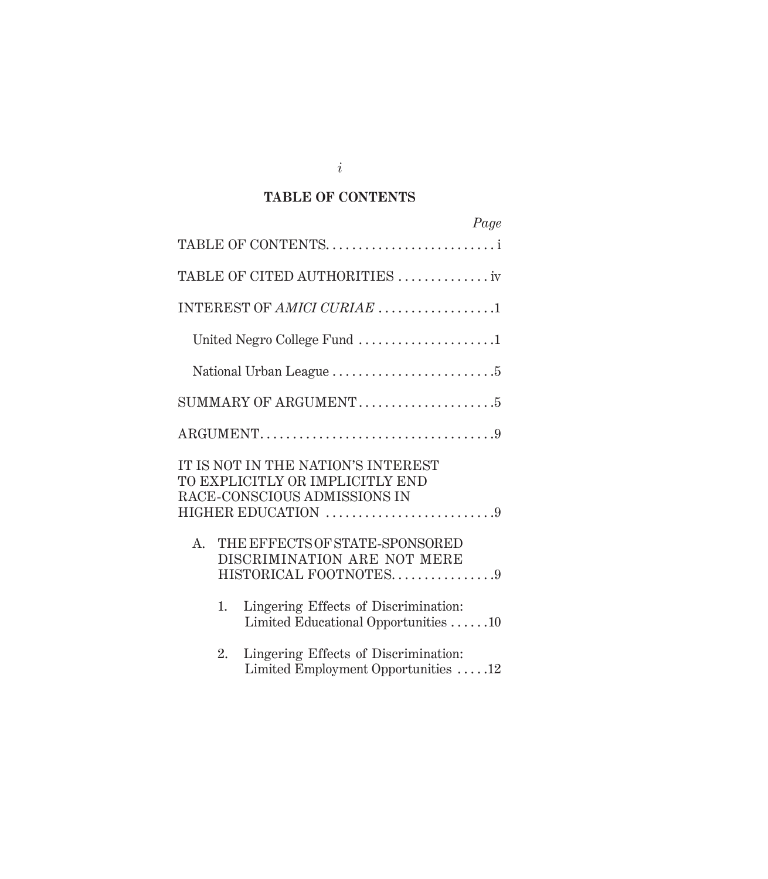## **TABLE OF CONTENTS**

|                                                                                                                             | Page                                 |
|-----------------------------------------------------------------------------------------------------------------------------|--------------------------------------|
| TABLE OF CONTENTS                                                                                                           |                                      |
| TABLE OF CITED AUTHORITIES  iv                                                                                              |                                      |
| INTEREST OF AMICI CURIAE 1                                                                                                  |                                      |
| United Negro College Fund 1                                                                                                 |                                      |
|                                                                                                                             |                                      |
|                                                                                                                             |                                      |
|                                                                                                                             |                                      |
| IT IS NOT IN THE NATION'S INTEREST<br>TO EXPLICITLY OR IMPLICITLY END<br>RACE-CONSCIOUS ADMISSIONS IN<br>HIGHER EDUCATION 9 |                                      |
| THE EFFECTS OF STATE-SPONSORED<br>$A_{\cdot}$<br>DISCRIMINATION ARE NOT MERE<br>HISTORICAL FOOTNOTES9                       |                                      |
| Lingering Effects of Discrimination:<br>1.                                                                                  | Limited Educational Opportunities 10 |
| Lingering Effects of Discrimination:<br>2.                                                                                  | Limited Employment Opportunities 12  |

*i*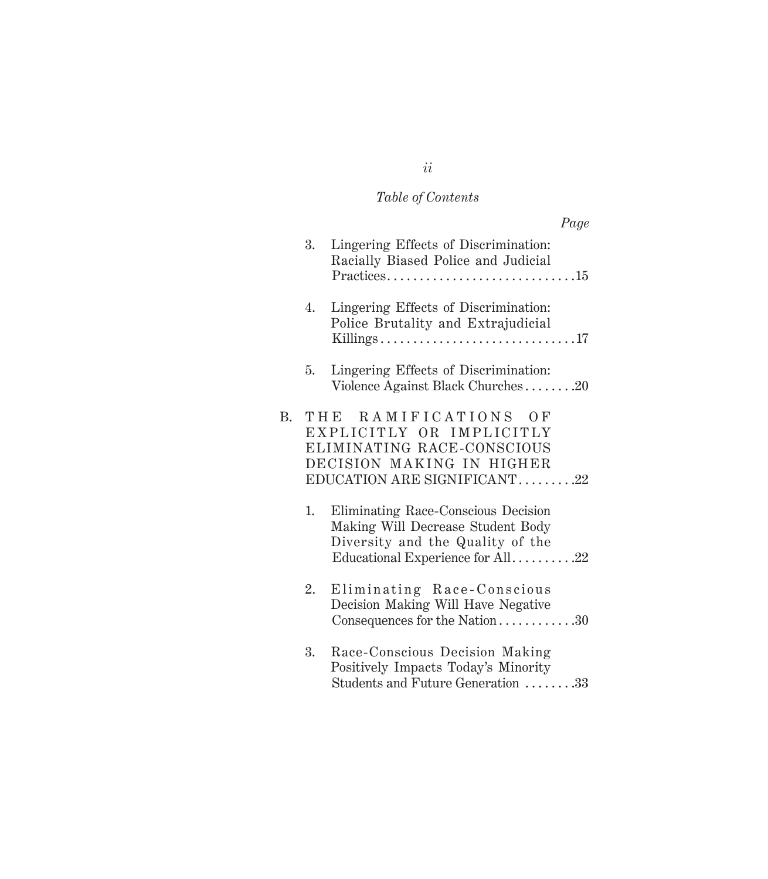# *Table of Contents*

|    |    | Page                                                                                                                                             |
|----|----|--------------------------------------------------------------------------------------------------------------------------------------------------|
|    | 3. | Lingering Effects of Discrimination:<br>Racially Biased Police and Judicial                                                                      |
|    | 4. | Lingering Effects of Discrimination:<br>Police Brutality and Extrajudicial                                                                       |
|    | 5. | Lingering Effects of Discrimination:<br>Violence Against Black Churches20                                                                        |
| В. |    | THE RAMIFICATIONS OF<br>EXPLICITLY OR IMPLICITLY<br>ELIMINATING RACE-CONSCIOUS<br>DECISION MAKING IN HIGHER<br>EDUCATION ARE SIGNIFICANT22       |
|    | 1. | Eliminating Race-Conscious Decision<br>Making Will Decrease Student Body<br>Diversity and the Quality of the<br>Educational Experience for All22 |
|    | 2. | Eliminating Race-Conscious<br>Decision Making Will Have Negative<br>Consequences for the Nation30                                                |
|    | 3. | Race-Conscious Decision Making<br>Positively Impacts Today's Minority<br>Students and Future Generation 33                                       |

*ii*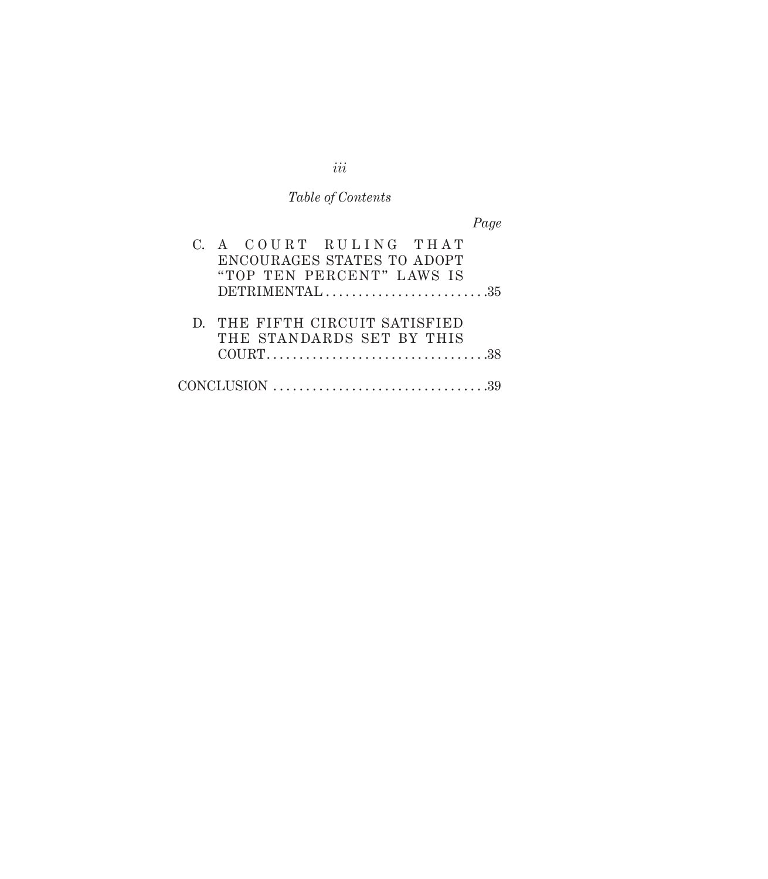# *Table of Contents*

*Page*

| C. A COURT RULING THAT<br>ENCOURAGES STATES TO ADOPT<br>"TOP TEN PERCENT" LAWS IS    |
|--------------------------------------------------------------------------------------|
|                                                                                      |
| D. THE FIFTH CIRCUIT SATISFIED<br>THE STANDARDS SET BY THIS                          |
| $CONCLUSION \dots \dots \dots \dots \dots \dots \dots \dots \dots \dots \dots \dots$ |

*iii*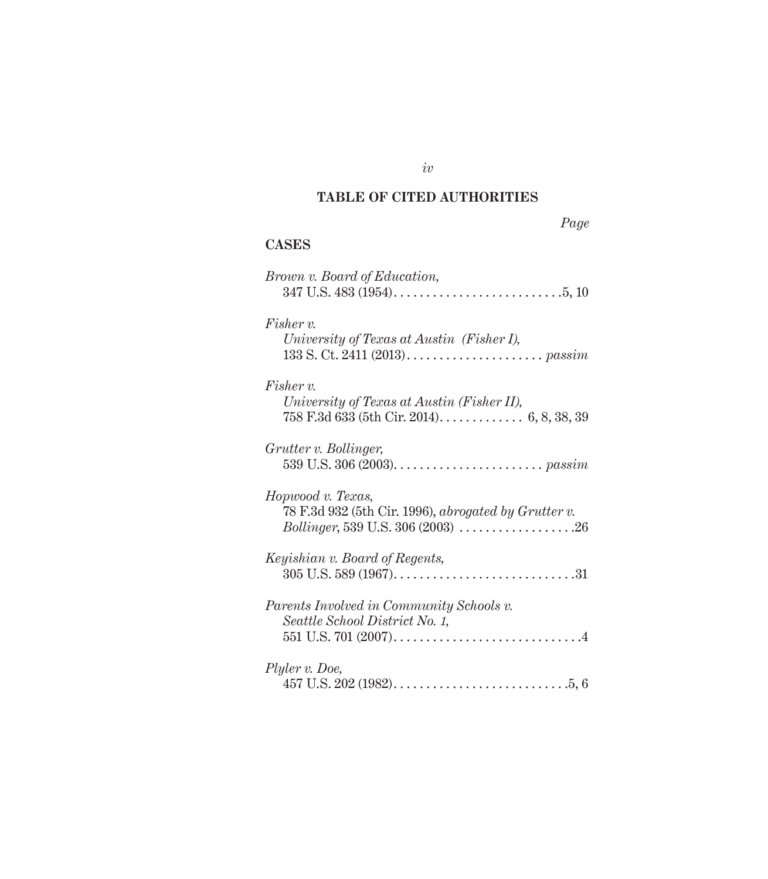## **TABLE OF CITED AUTHORITIES**

#### **CASES**

| Brown v. Board of Education,                                                                                                                                              |
|---------------------------------------------------------------------------------------------------------------------------------------------------------------------------|
| Fisher v.<br>University of Texas at Austin (Fisher I),                                                                                                                    |
| $Fisher v$ .<br>University of Texas at Austin (Fisher II),                                                                                                                |
| Grutter v. Bollinger,                                                                                                                                                     |
| Hopwood v. Texas,<br>78 F.3d 932 (5th Cir. 1996), abrogated by Grutter v.<br><i>Bollinger</i> , 539 U.S. 306 (2003) $\ldots \ldots \ldots \ldots \ldots \ldots \ldots 26$ |
| Keyishian v. Board of Regents,                                                                                                                                            |
| Parents Involved in Community Schools v.<br>Seattle School District No. 1,                                                                                                |
| Plyler v. Doe,                                                                                                                                                            |

*iv*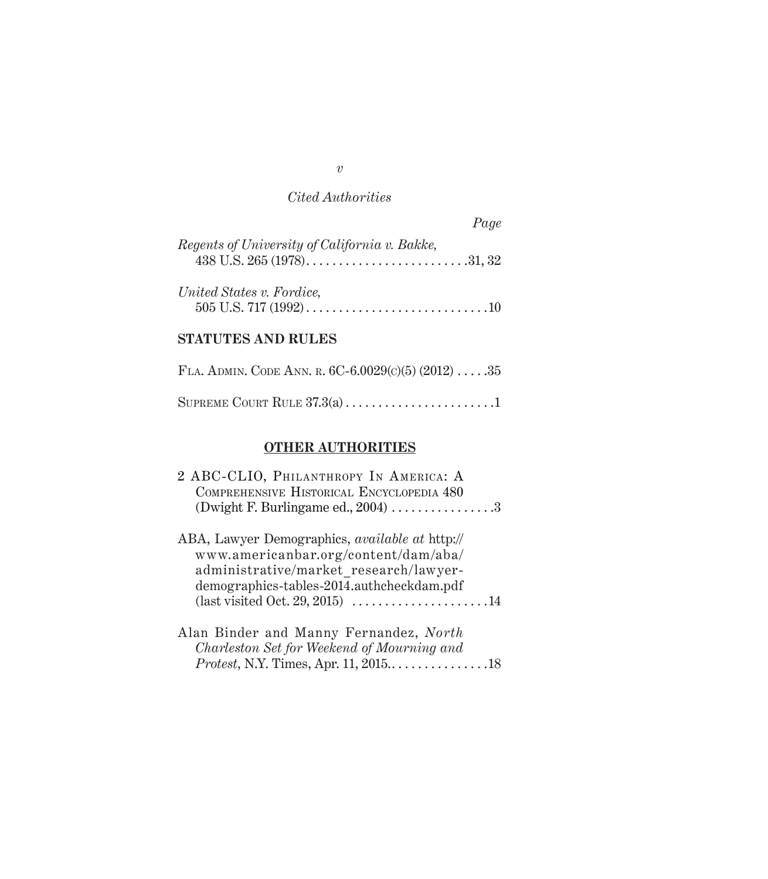|                                               | Page |
|-----------------------------------------------|------|
| Regents of University of California v. Bakke, |      |
| United States v. Fordice,                     |      |

## **StatuTes and Rules**

| FLA. ADMIN. CODE ANN. R. 6C-6.0029(c)(5) $(2012)$ 35 |  |
|------------------------------------------------------|--|
|                                                      |  |

## **Other Authorities**

| 2 ABC-CLIO, PHILANTHROPY IN AMERICA: A                |
|-------------------------------------------------------|
| COMPREHENSIVE HISTORICAL ENCYCLOPEDIA 480             |
| (Dwight F. Burlingame ed., $2004$ ) 3                 |
| ABA, Lawyer Demographics, <i>available at</i> http:// |
| www.americanbar.org/content/dam/aba/                  |
| administrative/market research/lawyer-                |
| demographics-tables-2014.authcheckdam.pdf             |
|                                                       |
| Alan Binder and Manny Fernandez, North                |
| Charleston Set for Weekend of Mourning and            |
| Protest, N.Y. Times, Apr. 11, 201518                  |

*v*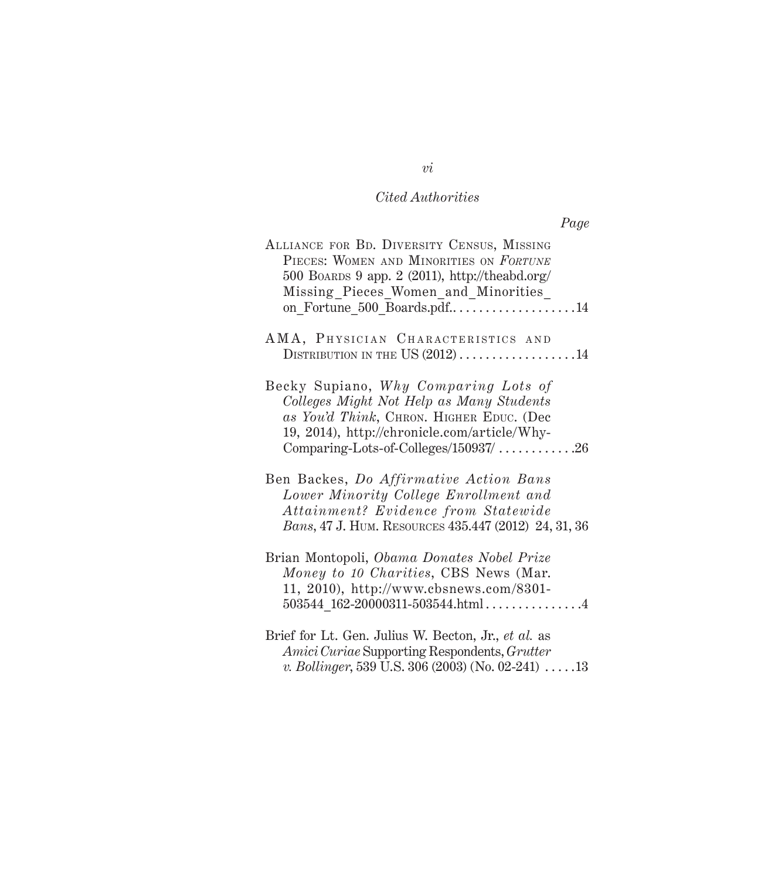| ALLIANCE FOR BD. DIVERSITY CENSUS, MISSING<br>PIECES: WOMEN AND MINORITIES ON FORTUNE<br>500 BOARDS 9 app. 2 (2011), http://theabd.org/<br>Missing Pieces Women_and_Minorities_<br>on Fortune 500 Boards.pdf14                 |
|--------------------------------------------------------------------------------------------------------------------------------------------------------------------------------------------------------------------------------|
| AMA, PHYSICIAN CHARACTERISTICS AND<br>DISTRIBUTION IN THE US $(2012)$ 14                                                                                                                                                       |
| Becky Supiano, Why Comparing Lots of<br>Colleges Might Not Help as Many Students<br>as You'd Think, CHRON. HIGHER EDUC. (Dec<br>19, 2014), http://chronicle.com/article/Why-<br>Comparing-Lots-of-Colleges/150937/ $\ldots$ 26 |
| Ben Backes, Do Affirmative Action Bans<br>Lower Minority College Enrollment and<br>Attainment? Evidence from Statewide<br>Bans, 47 J. HUM. RESOURCES 435.447 (2012) 24, 31, 36                                                 |
| Brian Montopoli, Obama Donates Nobel Prize<br>Money to 10 Charities, CBS News (Mar.<br>11, 2010), http://www.cbsnews.com/8301-<br>$503544$ 162-20000311-503544.html4                                                           |
| Brief for Lt. Gen. Julius W. Becton, Jr., et al. as                                                                                                                                                                            |

*Amici Curiae* Supporting Respondents, *Grutter v. Bollinger*, 539 U.S. 306 (2003) (No. 02-241)  $\dots$  .13

*vi*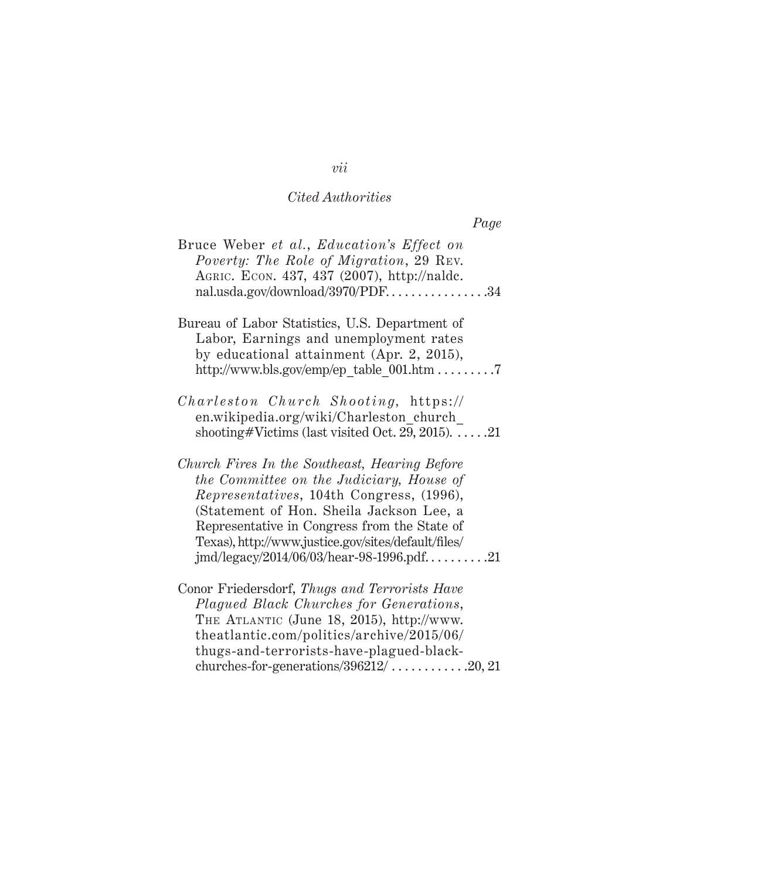|--|

| Bruce Weber et al., Education's Effect on<br>Poverty: The Role of Migration, 29 REV.<br>AGRIC. ECON. 437, 437 (2007), http://naldc.<br>nal.usda.gov/download/3970/PDF34                                                                                                                                                                 |
|-----------------------------------------------------------------------------------------------------------------------------------------------------------------------------------------------------------------------------------------------------------------------------------------------------------------------------------------|
| Bureau of Labor Statistics, U.S. Department of<br>Labor, Earnings and unemployment rates<br>by educational attainment (Apr. 2, 2015),                                                                                                                                                                                                   |
| <i>Charleston Church Shooting, https://</i><br>en.wikipedia.org/wiki/Charleston church<br>shooting#Victims (last visited Oct. 29, 2015). $\dots$ .21                                                                                                                                                                                    |
| Church Fires In the Southeast, Hearing Before<br>the Committee on the Judiciary, House of<br>Representatives, 104th Congress, (1996),<br>(Statement of Hon. Sheila Jackson Lee, a<br>Representative in Congress from the State of<br>Texas), http://www.justice.gov/sites/default/files/<br>$jmd/legacy/2014/06/03/hear-98-1996.pdf$ 21 |
| Conor Friedersdorf, Thugs and Terrorists Have<br>Plagued Black Churches for Generations,<br>THE ATLANTIC (June 18, 2015), http://www.<br>theatlantic.com/politics/archive/2015/06/<br>thugs-and-terrorists-have-plagued-black-<br>churches-for-generations/ $396212/$ 20, 21                                                            |

## *vii*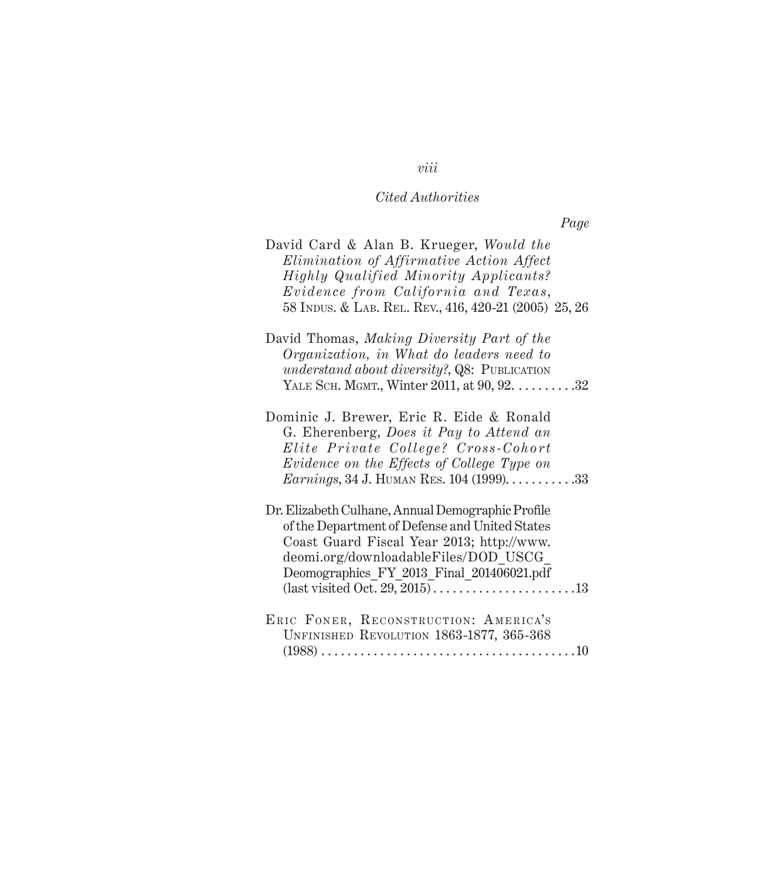*Page*

| David Card & Alan B. Krueger, Would the<br>Elimination of Affirmative Action Affect<br><b>Highly Qualified Minority Applicants?</b><br>Evidence from California and Texas,<br>58 INDUS. & LAB. REL. REV., 416, 420-21 (2005) 25, 26               |
|---------------------------------------------------------------------------------------------------------------------------------------------------------------------------------------------------------------------------------------------------|
| David Thomas, Making Diversity Part of the<br>Organization, in What do leaders need to<br><i>understand about diversity?</i> , Q8: PUBLICATION<br>YALE SCH. MGMT., Winter 2011, at 90, 92. 32                                                     |
| Dominic J. Brewer, Eric R. Eide & Ronald<br>G. Eherenberg, Does it Pay to Attend an<br>Elite Private College? Cross-Cohort<br>Evidence on the Effects of College Type on<br><i>Earnings</i> , 34 J. HUMAN RES. 104 (1999). $\dots \dots \dots 33$ |
| Dr. Elizabeth Culhane, Annual Demographic Profile<br>of the Department of Defense and United States<br>Coast Guard Fiscal Year 2013; http://www.<br>deomi.org/downloadableFiles/DOD USCG<br>Deomographics FY 2013 Final 201406021.pdf             |
| ERIC FONER, RECONSTRUCTION: AMERICA'S<br>UNFINISHED REVOLUTION 1863-1877, 365-368                                                                                                                                                                 |

## *viii*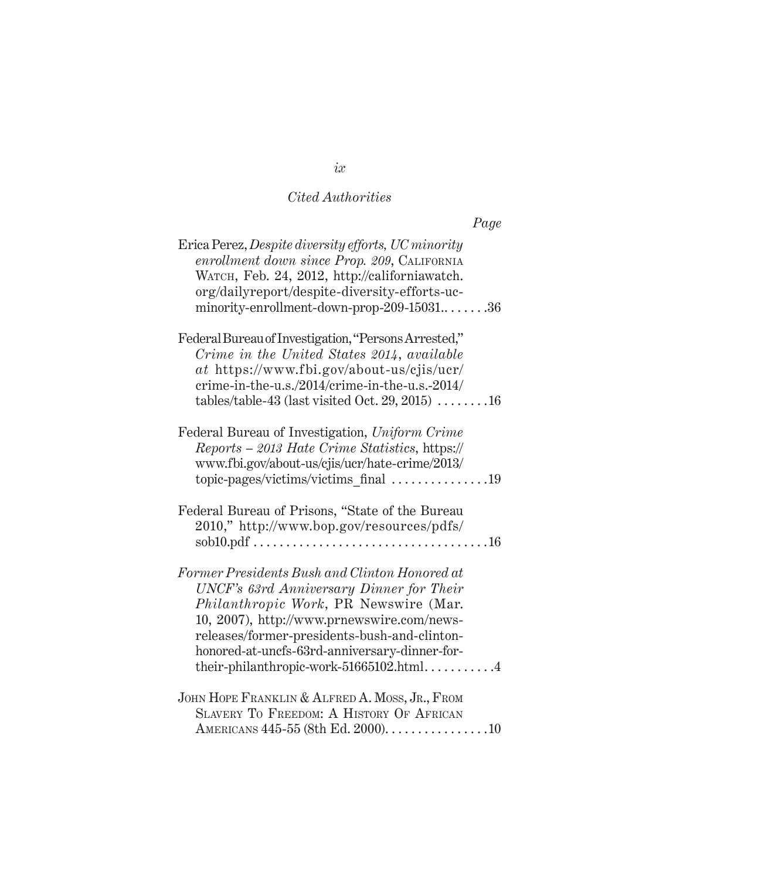| Page                                                                                                                                                                                                                                                                                                                             |  |
|----------------------------------------------------------------------------------------------------------------------------------------------------------------------------------------------------------------------------------------------------------------------------------------------------------------------------------|--|
| Erica Perez, Despite diversity efforts, UC minority<br>enrollment down since Prop. 209, CALIFORNIA<br>WATCH, Feb. 24, 2012, http://californiawatch.<br>org/dailyreport/despite-diversity-efforts-uc-<br>minority-enrollment-down-prop-209-1503136                                                                                |  |
| Federal Bureau of Investigation, "Persons Arrested,"<br>Crime in the United States 2014, available<br>at https://www.fbi.gov/about-us/cjis/ucr/<br>crime-in-the-u.s./2014/crime-in-the-u.s.-2014/<br>tables/table-43 (last visited Oct. 29, 2015) $\dots \dots 16$                                                               |  |
| Federal Bureau of Investigation, Uniform Crime<br>Reports - 2013 Hate Crime Statistics, https://<br>www.fbi.gov/about-us/cjis/ucr/hate-crime/2013/<br>topic-pages/victims/victims_final 19                                                                                                                                       |  |
| Federal Bureau of Prisons, "State of the Bureau<br>2010," http://www.bop.gov/resources/pdfs/                                                                                                                                                                                                                                     |  |
| Former Presidents Bush and Clinton Honored at<br>UNCF's 63rd Anniversary Dinner for Their<br>Philanthropic Work, PR Newswire (Mar.<br>10, 2007), http://www.prnewswire.com/news-<br>releases/former-presidents-bush-and-clinton-<br>honored-at-uncfs-63rd-anniversary-dinner-for-<br>their-philanthropic-work- $51665102.html$ 4 |  |
| JOHN HOPE FRANKLIN & ALFRED A. MOSS, JR., FROM<br>SLAVERY TO FREEDOM: A HISTORY OF AFRICAN<br>AMERICANS 445-55 (8th Ed. 2000). 10                                                                                                                                                                                                |  |

*ix*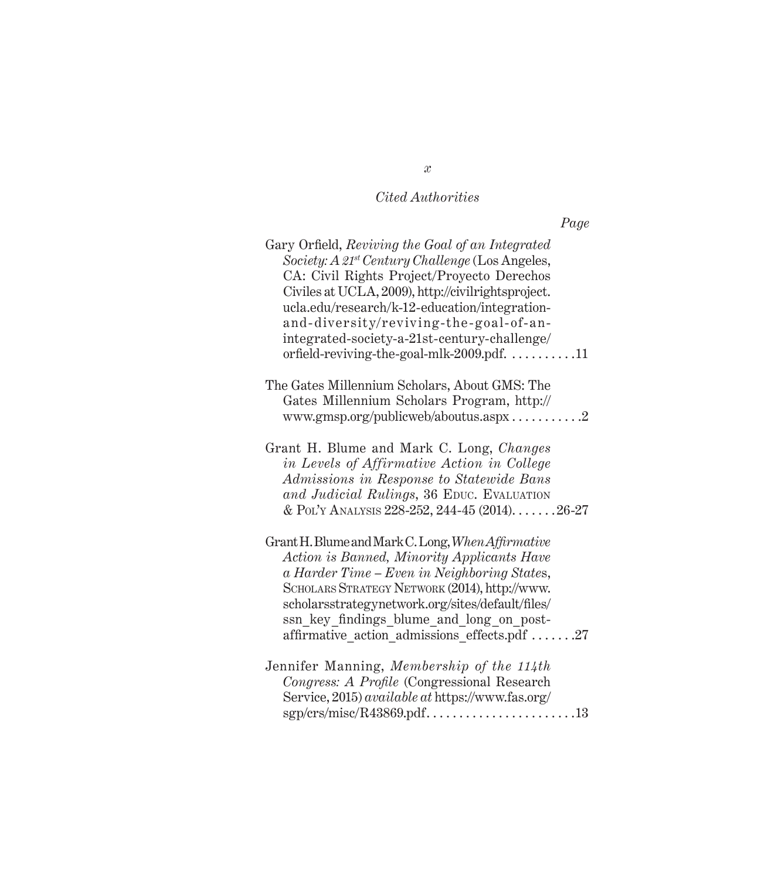|--|

| Gary Orfield, Reviving the Goal of an Integrated<br>Society: A 21 <sup>st</sup> Century Challenge (Los Angeles,<br>CA: Civil Rights Project/Proyecto Derechos<br>Civiles at UCLA, 2009), http://civilrightsproject.<br>ucla.edu/research/k-12-education/integration-<br>and-diversity/reviving-the-goal-of-an-<br>integrated-society-a-21st-century-challenge/<br>orfield-reviving-the-goal-mlk-2009.pdf. 11 |
|--------------------------------------------------------------------------------------------------------------------------------------------------------------------------------------------------------------------------------------------------------------------------------------------------------------------------------------------------------------------------------------------------------------|
| The Gates Millennium Scholars, About GMS: The<br>Gates Millennium Scholars Program, http://<br>www.gmsp.org/publicweb/aboutus.aspx2                                                                                                                                                                                                                                                                          |
| Grant H. Blume and Mark C. Long, Changes<br>in Levels of Affirmative Action in College<br>Admissions in Response to Statewide Bans<br>and Judicial Rulings, 36 EDUC. EVALUATION<br>& POL'Y ANALYSIS 228-252, 244-45 (2014)26-27                                                                                                                                                                              |
| Grant H. Blume and Mark C. Long, When Affirmative<br>Action is Banned, Minority Applicants Have<br>a Harder Time - Even in Neighboring States,<br>SCHOLARS STRATEGY NETWORK (2014), http://www.<br>scholarsstrategynetwork.org/sites/default/files/<br>ssn key findings blume and long on post-<br>affirmative action admissions effects.pdf 27                                                              |
| Jennifer Manning, Membership of the 114th<br>Congress: A Profile (Congressional Research<br>Service, 2015) available at https://www.fas.org/                                                                                                                                                                                                                                                                 |

*x*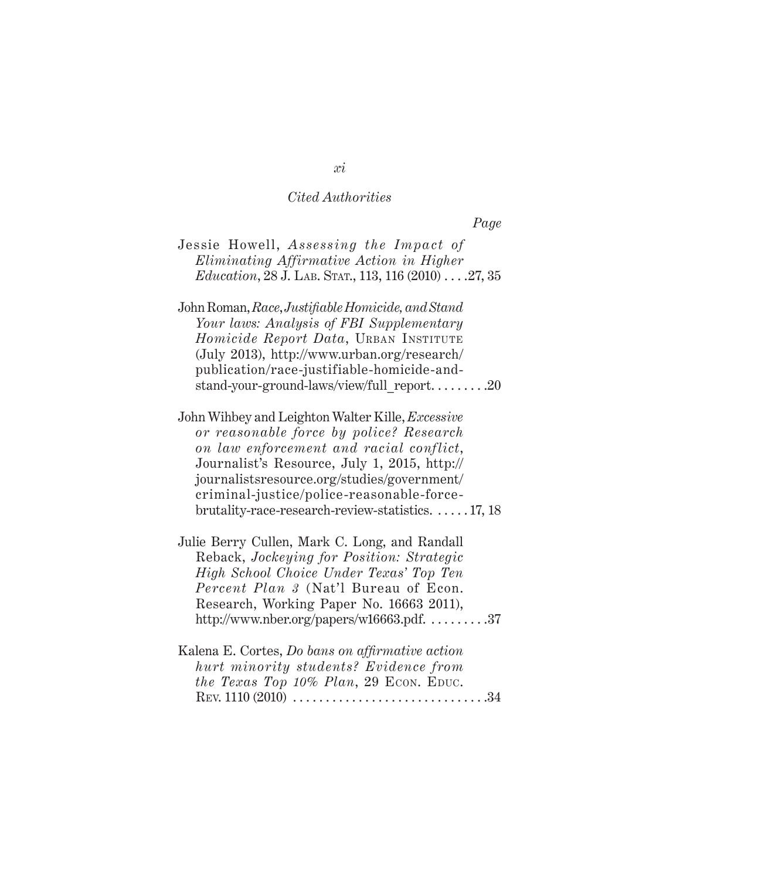*Page*

| Jessie Howell, Assessing the Impact of<br>Eliminating Affirmative Action in Higher<br>$Education$ , 28 J. LAB. STAT., 113, 116 (2010) 27, 35                                                                                                                                                                                                           |  |
|--------------------------------------------------------------------------------------------------------------------------------------------------------------------------------------------------------------------------------------------------------------------------------------------------------------------------------------------------------|--|
| John Roman, Race, Justifiable Homicide, and Stand<br>Your laws: Analysis of FBI Supplementary<br>Homicide Report Data, URBAN INSTITUTE<br>(July 2013), http://www.urban.org/research/<br>publication/race-justifiable-homicide-and-<br>stand-your-ground-laws/view/full_report20                                                                       |  |
| John Wihbey and Leighton Walter Kille, <i>Excessive</i><br>or reasonable force by police? Research<br>on law enforcement and racial conflict,<br>Journalist's Resource, July 1, 2015, http://<br>journalistsresource.org/studies/government/<br>criminal-justice/police-reasonable-force-<br>brutality-race-research-review-statistics. $\dots$ 17, 18 |  |
| Julie Berry Cullen, Mark C. Long, and Randall<br>Reback, Jockeying for Position: Strategic<br>High School Choice Under Texas' Top Ten<br>Percent Plan 3 (Nat'l Bureau of Econ.<br>Research, Working Paper No. 16663 2011),<br>http://www.nber.org/papers/w16663.pdf. $\dots \dots 37$                                                                  |  |
| Kalena E. Cortes, Do bans on affirmative action<br>hurt minority students? Evidence from<br>the Texas Top 10% Plan, 29 ECON. EDUC.                                                                                                                                                                                                                     |  |

*xi*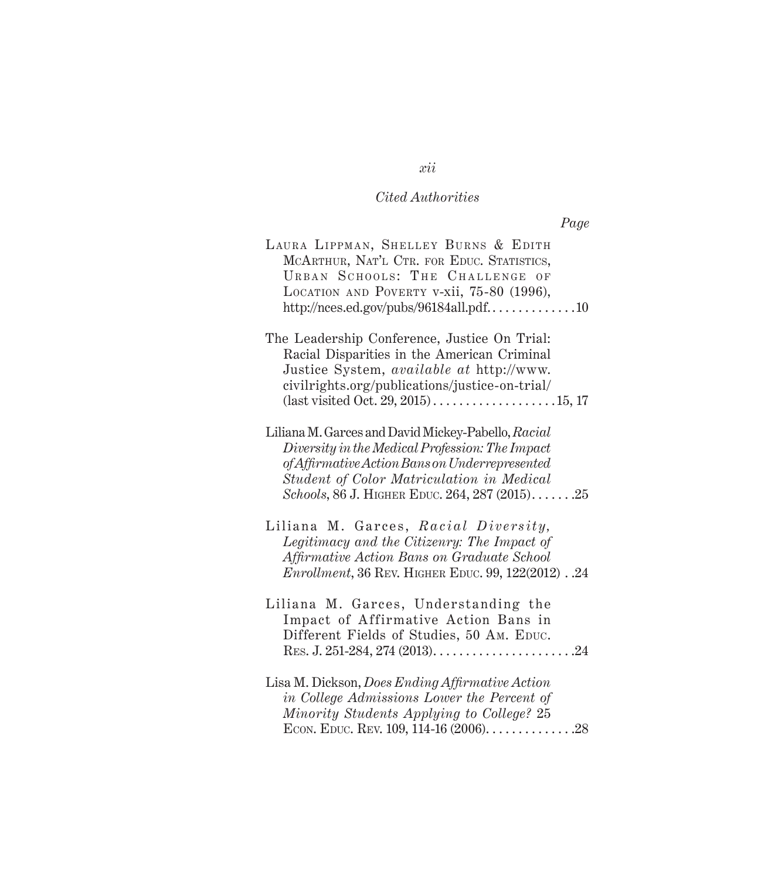|--|

| LAURA LIPPMAN, SHELLEY BURNS & EDITH<br>MCARTHUR, NAT'L CTR. FOR EDUC. STATISTICS,<br>URBAN SCHOOLS: THE CHALLENGE OF<br>LOCATION AND POVERTY V-XII, 75-80 (1996),<br>http://nces.ed.gov/pubs/96184all.pdf10                                          |
|-------------------------------------------------------------------------------------------------------------------------------------------------------------------------------------------------------------------------------------------------------|
| The Leadership Conference, Justice On Trial:<br>Racial Disparities in the American Criminal<br>Justice System, available at http://www.<br>civilrights.org/publications/justice-on-trial/                                                             |
| Liliana M. Garces and David Mickey-Pabello, Racial<br>Diversity in the Medical Profession: The Impact<br>of Affirmative Action Bans on Underrepresented<br>Student of Color Matriculation in Medical<br>Schools, 86 J. HIGHER EDUC. 264, 287 (2015)25 |
| Liliana M. Garces, Racial Diversity,<br>Legitimacy and the Citizenry: The Impact of<br>Affirmative Action Bans on Graduate School<br><i>Enrollment</i> , 36 REV. HIGHER EDUC. 99, 122(2012). .24                                                      |
| Liliana M. Garces, Understanding the<br>Impact of Affirmative Action Bans in<br>Different Fields of Studies, 50 AM. EDUC.                                                                                                                             |
| Lisa M. Dickson, Does Ending Affirmative Action<br>in College Admissions Lower the Percent of<br>Minority Students Applying to College? 25<br>ECON. EDUC. REV. 109, 114-16 $(2006)$ 28                                                                |

*xii*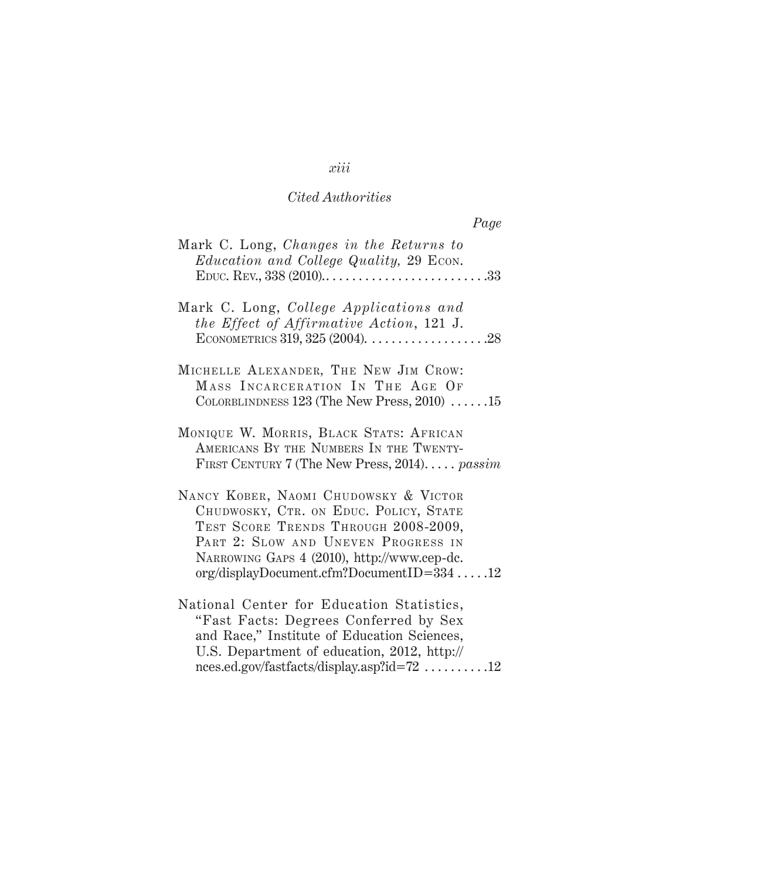| Page                                                                                                                                                                                                                                                        |
|-------------------------------------------------------------------------------------------------------------------------------------------------------------------------------------------------------------------------------------------------------------|
| Mark C. Long, Changes in the Returns to<br><i>Education and College Quality, 29 Econ.</i>                                                                                                                                                                   |
| Mark C. Long, College Applications and<br>the Effect of Affirmative Action, 121 J.<br>ECONOMETRICS 319, 325 (2004). $\ldots \ldots \ldots \ldots \ldots \ldots$ .28                                                                                         |
| MICHELLE ALEXANDER, THE NEW JIM CROW:<br>MASS INCARCERATION IN THE AGE OF<br>COLORBLINDNESS $123$ (The New Press, $2010$ ) 15                                                                                                                               |
| MONIQUE W. MORRIS, BLACK STATS: AFRICAN<br>AMERICANS BY THE NUMBERS IN THE TWENTY-<br>FIRST CENTURY 7 (The New Press, 2014) passim                                                                                                                          |
| NANCY KOBER, NAOMI CHUDOWSKY & VICTOR<br>CHUDWOSKY, CTR. ON EDUC. POLICY, STATE<br>TEST SCORE TRENDS THROUGH 2008-2009,<br>PART 2: SLOW AND UNEVEN PROGRESS IN<br>NARROWING GAPS 4 (2010), http://www.cep-dc.<br>$org/displayDocument.cfm?DocumentID=33412$ |
| National Center for Education Statistics,<br>"Fast Facts: Degrees Conferred by Sex<br>and Race," Institute of Education Sciences,<br>U.S. Department of education, 2012, http://                                                                            |

nces.ed.gov/fastfacts/display.asp?id=72  $\,\ldots\ldots\ldots\,12$ 

## *xiii*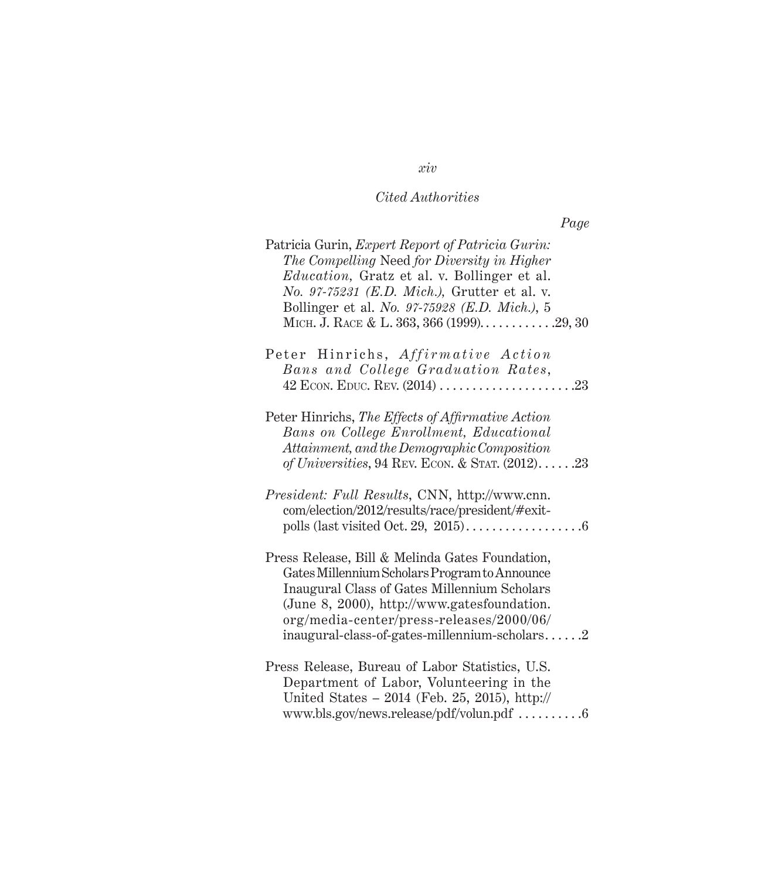| Patricia Gurin, Expert Report of Patricia Gurin:<br>The Compelling Need for Diversity in Higher<br><i>Education</i> , Gratz et al. v. Bollinger et al.<br>No. 97-75231 (E.D. Mich.), Grutter et al. v.<br>Bollinger et al. No. 97-75928 (E.D. Mich.), 5<br>МІСН. Ј. КАСЕ & L. 363, 366 (1999)29, 30 |
|-----------------------------------------------------------------------------------------------------------------------------------------------------------------------------------------------------------------------------------------------------------------------------------------------------|
| Peter Hinrichs, Affirmative Action<br>Bans and College Graduation Rates,                                                                                                                                                                                                                            |
| Peter Hinrichs, The Effects of Affirmative Action<br>Bans on College Enrollment, Educational<br>Attainment, and the Demographic Composition<br>of Universities, 94 REV. ECON. & STAT. $(2012)$ 23                                                                                                   |
| President: Full Results, CNN, http://www.cnn.<br>com/election/2012/results/race/president/#exit-                                                                                                                                                                                                    |
| Press Release, Bill & Melinda Gates Foundation,<br>Gates Millennium Scholars Program to Announce<br>Inaugural Class of Gates Millennium Scholars<br>(June 8, 2000), http://www.gatesfoundation.<br>org/media-center/press-releases/2000/06/<br>inaugural-class-of-gates-millennium-scholars $2$     |
| Press Release, Bureau of Labor Statistics, U.S.<br>Department of Labor, Volunteering in the<br>United States - 2014 (Feb. 25, 2015), http://<br>www.bls.gov/news.release/pdf/volun.pdf 6                                                                                                            |

*xiv*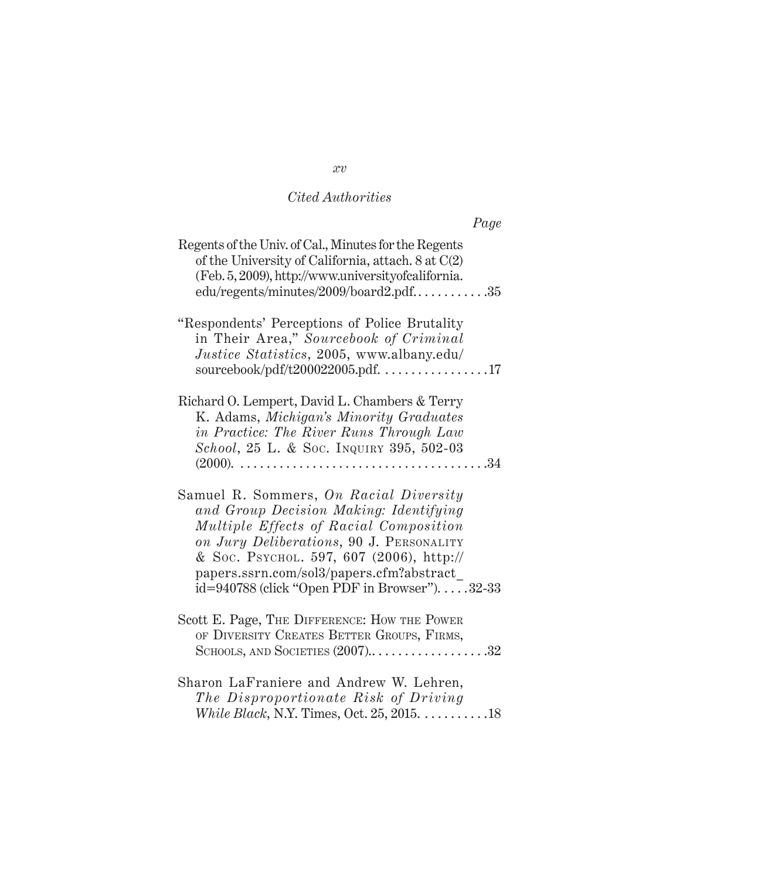| Page                                                                                                                                                                                                                                                                                                             |
|------------------------------------------------------------------------------------------------------------------------------------------------------------------------------------------------------------------------------------------------------------------------------------------------------------------|
| Regents of the Univ. of Cal., Minutes for the Regents<br>of the University of California, attach. 8 at C(2)<br>(Feb. 5, 2009), http://www.universityofcalifornia.<br>edu/regents/minutes/2009/board2.pdf35                                                                                                       |
| "Respondents' Perceptions of Police Brutality<br>in Their Area," Sourcebook of Criminal<br>Justice Statistics, 2005, www.albany.edu/<br>sourcebook/pdf/t200022005.pdf. 17                                                                                                                                        |
| Richard O. Lempert, David L. Chambers & Terry<br>K. Adams, Michigan's Minority Graduates<br>in Practice: The River Runs Through Law<br>School, 25 L. & Soc. Inquiry 395, 502-03<br>$(2000)$ .                                                                                                                    |
| Samuel R. Sommers, On Racial Diversity<br>and Group Decision Making: Identifying<br>Multiple Effects of Racial Composition<br>on Jury Deliberations, 90 J. PERSONALITY<br>& Soc. PSYCHOL. 597, 607 (2006), http://<br>papers.ssrn.com/sol3/papers.cfm?abstract<br>id=940788 (click "Open PDF in Browser"). 32-33 |
| Scott E. Page, THE DIFFERENCE: HOW THE POWER<br>OF DIVERSITY CREATES BETTER GROUPS, FIRMS,<br>SCHOOLS, AND SOCIETIES $(2007)$ 32                                                                                                                                                                                 |
| Sharon LaFraniere and Andrew W. Lehren,<br>The Disproportionate Risk of Driving                                                                                                                                                                                                                                  |

*xv*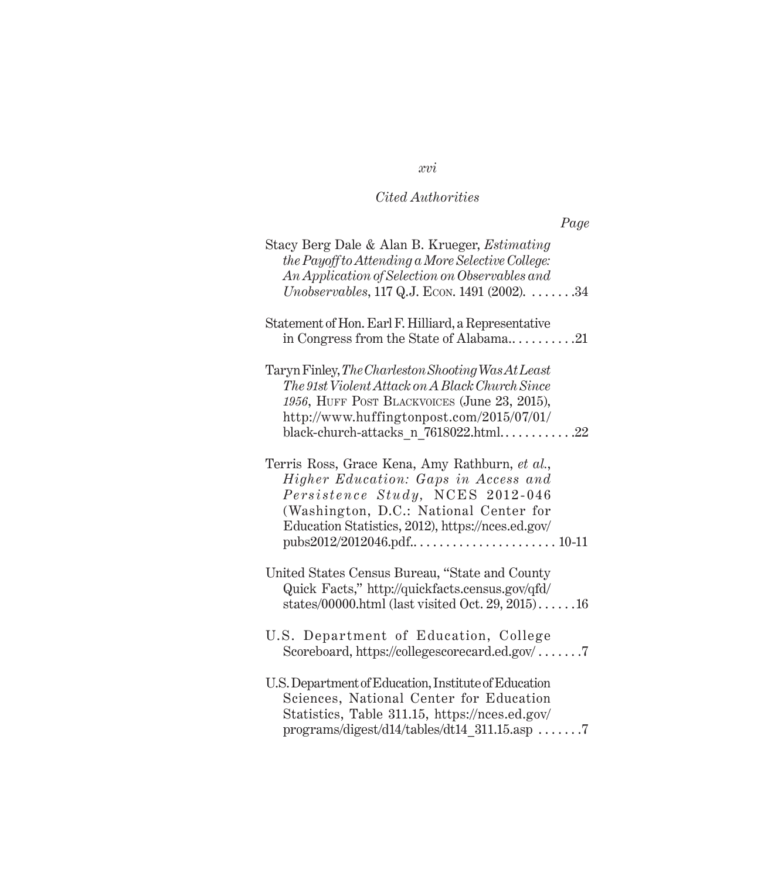## *Page*

| Stacy Berg Dale & Alan B. Krueger, <i>Estimating</i><br>the Payoff to Attending a More Selective College:<br>An Application of Selection on Observables and<br><i>Unobservables</i> , 117 Q.J. Econ. 1491 (2002). $\dots \dots 34$             |
|------------------------------------------------------------------------------------------------------------------------------------------------------------------------------------------------------------------------------------------------|
| Statement of Hon. Earl F. Hilliard, a Representative<br>in Congress from the State of Alabama21                                                                                                                                                |
| Taryn Finley, The Charleston Shooting Was At Least<br>The 91st Violent Attack on A Black Church Since<br>1956, HUFF POST BLACKVOICES (June 23, 2015),<br>http://www.huffingtonpost.com/2015/07/01/<br>black-church-attacks n $7618022.html$ 22 |
| Terris Ross, Grace Kena, Amy Rathburn, et al.,<br>Higher Education: Gaps in Access and<br>Persistence Study, NCES 2012-046<br>(Washington, D.C.: National Center for<br>Education Statistics, 2012), https://nces.ed.gov/                      |
| United States Census Bureau, "State and County<br>Quick Facts," http://quickfacts.census.gov/qfd/<br>states/00000.html (last visited Oct. 29, 2015)16                                                                                          |
| U.S. Department of Education, College<br>Scoreboard, https://collegescorecard.ed.gov/7                                                                                                                                                         |
| U.S. Department of Education, Institute of Education<br>Sciences, National Center for Education<br>Statistics, Table 311.15, https://nces.ed.gov/<br>$programs/digest/d14/tables/dt14$ 311.15.asp                                              |

## *xvi*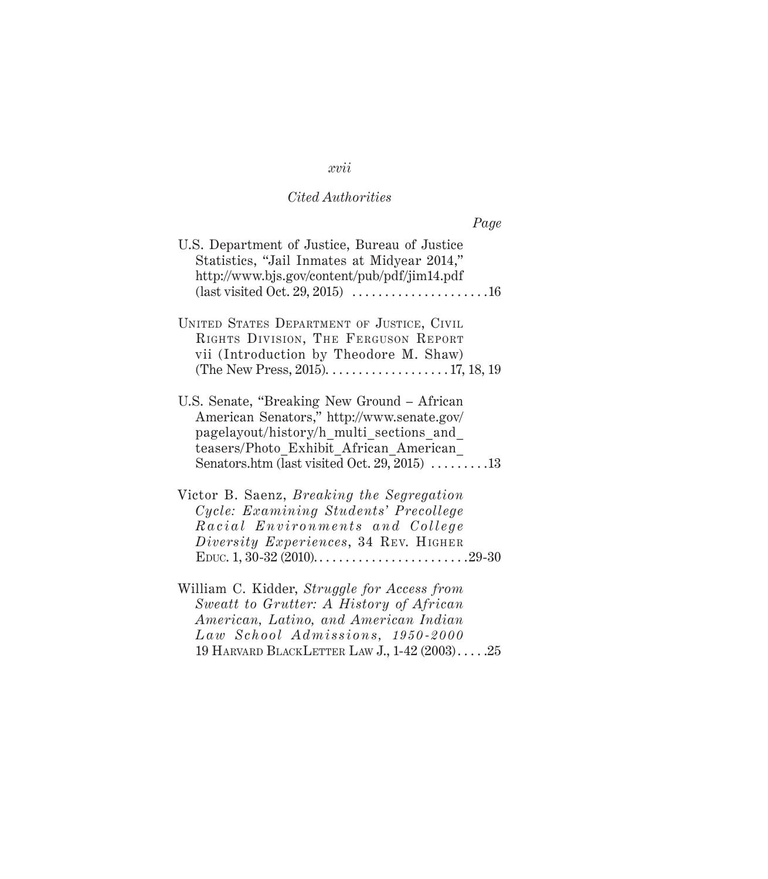## *xvii*

## *Cited Authorities*

| rage |                                                                                                                                                                                                                                        |
|------|----------------------------------------------------------------------------------------------------------------------------------------------------------------------------------------------------------------------------------------|
|      | U.S. Department of Justice, Bureau of Justice<br>Statistics, "Jail Inmates at Midyear 2014,"<br>http://www.bjs.gov/content/pub/pdf/jim14.pdf                                                                                           |
|      | UNITED STATES DEPARTMENT OF JUSTICE, CIVIL<br>RIGHTS DIVISION, THE FERGUSON REPORT<br>vii (Introduction by Theodore M. Shaw)<br>(The New Press, 2015). $\dots \dots \dots \dots \dots \dots 17, 18, 19$                                |
|      | U.S. Senate, "Breaking New Ground – African<br>American Senators," http://www.senate.gov/<br>pagelayout/history/h_multi_sections and<br>teasers/Photo Exhibit African American<br>Senators.htm (last visited Oct. 29, 2015) $\dots$ 13 |
|      | Victor B. Saenz, <i>Breaking the Segregation</i><br>Cycle: Examining Students' Precollege<br>Racial Environments and College<br>Diversity Experiences, 34 REV. HIGHER                                                                  |
|      | William C. Kidder, Struggle for Access from<br>Sweatt to Grutter: A History of African<br>American, Latino, and American Indian<br>Law School Admissions, 1950-2000<br>19 HARVARD BLACKLETTER LAW J., 1-42 (2003) .25                  |

## $\overline{p}_\ell$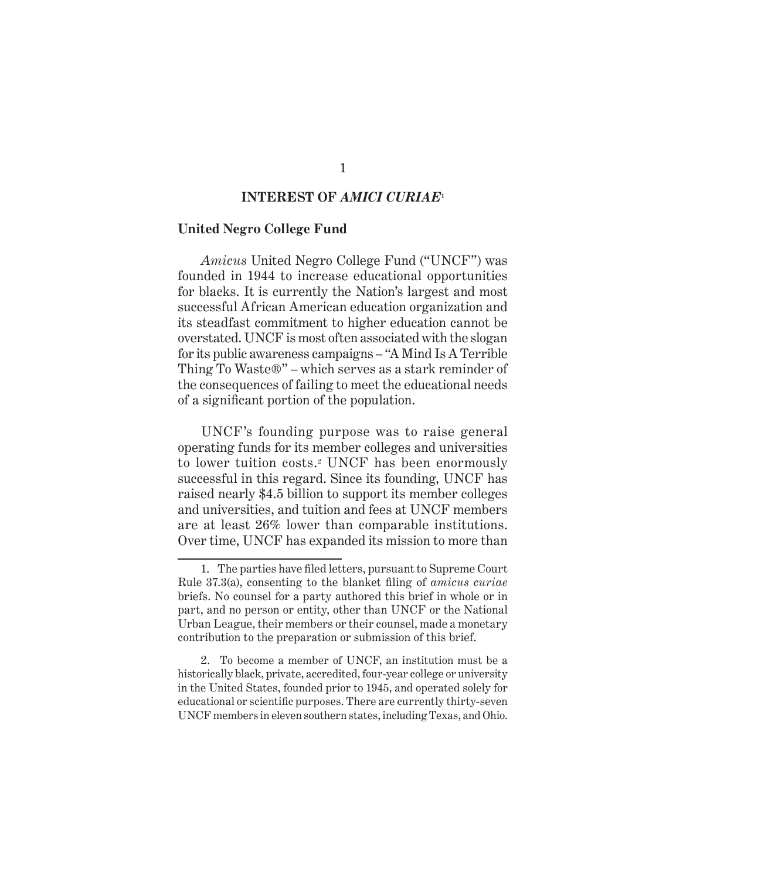#### **INTEREST OF** *AMICI CURIAE***<sup>1</sup>**

#### **United Negro College Fund**

*Amicus* United Negro College Fund ("UNCF") was founded in 1944 to increase educational opportunities for blacks. It is currently the Nation's largest and most successful African American education organization and its steadfast commitment to higher education cannot be overstated. UNCF is most often associated with the slogan for its public awareness campaigns – "A Mind Is A Terrible Thing To Waste®" – which serves as a stark reminder of the consequences of failing to meet the educational needs of a significant portion of the population.

UNCF's founding purpose was to raise general operating funds for its member colleges and universities to lower tuition costs.<sup>2</sup> UNCF has been enormously successful in this regard. Since its founding, UNCF has raised nearly \$4.5 billion to support its member colleges and universities, and tuition and fees at UNCF members are at least 26% lower than comparable institutions. Over time, UNCF has expanded its mission to more than

2. To become a member of UNCF, an institution must be a historically black, private, accredited, four-year college or university in the United States, founded prior to 1945, and operated solely for educational or scientific purposes. There are currently thirty-seven UNCF members in eleven southern states, including Texas, and Ohio.

<sup>1.</sup> The parties have filed letters, pursuant to Supreme Court Rule 37.3(a), consenting to the blanket filing of *amicus curiae*  briefs. No counsel for a party authored this brief in whole or in part, and no person or entity, other than UNCF or the National Urban League, their members or their counsel, made a monetary contribution to the preparation or submission of this brief.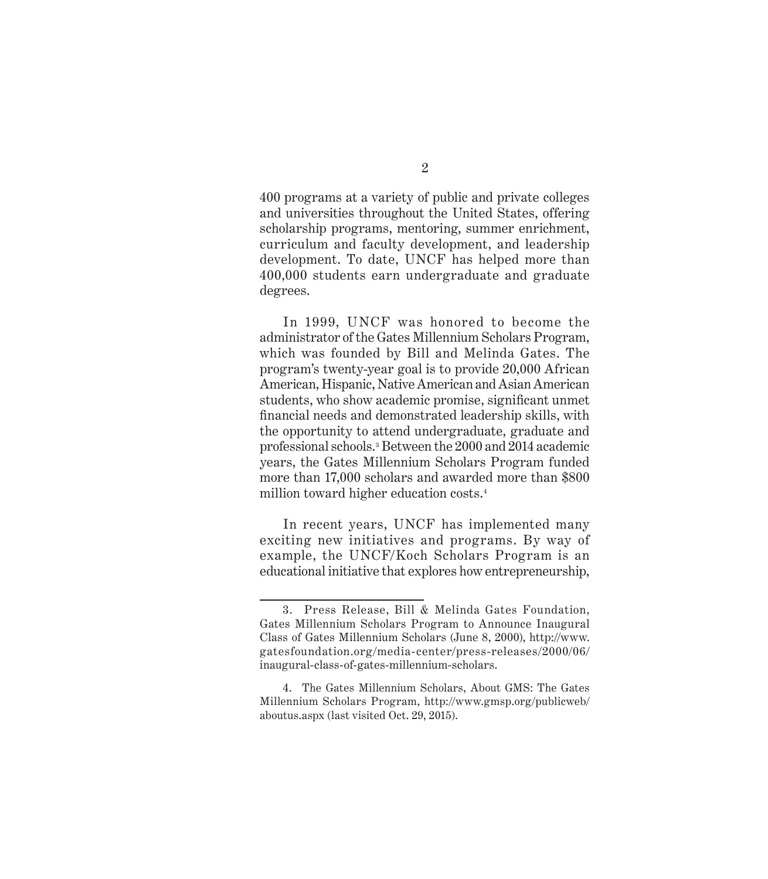400 programs at a variety of public and private colleges and universities throughout the United States, offering scholarship programs, mentoring, summer enrichment, curriculum and faculty development, and leadership development. To date, UNCF has helped more than 400,000 students earn undergraduate and graduate degrees.

In 1999, UNCF was honored to become the administrator of the Gates Millennium Scholars Program, which was founded by Bill and Melinda Gates. The program's twenty-year goal is to provide 20,000 African American, Hispanic, Native American and Asian American students, who show academic promise, significant unmet financial needs and demonstrated leadership skills, with the opportunity to attend undergraduate, graduate and professional schools.<sup>3</sup> Between the 2000 and 2014 academic years, the Gates Millennium Scholars Program funded more than 17,000 scholars and awarded more than \$800 million toward higher education costs.<sup>4</sup>

In recent years, UNCF has implemented many exciting new initiatives and programs. By way of example, the UNCF/Koch Scholars Program is an educational initiative that explores how entrepreneurship,

<sup>3.</sup> Press Release, Bill & Melinda Gates Foundation, Gates Millennium Scholars Program to Announce Inaugural Class of Gates Millennium Scholars (June 8, 2000), http://www. gatesfoundation.org/media-center/press-releases/2000/06/ inaugural-class-of-gates-millennium-scholars.

<sup>4.</sup> The Gates Millennium Scholars, About GMS: The Gates Millennium Scholars Program, http://www.gmsp.org/publicweb/ aboutus.aspx (last visited Oct. 29, 2015).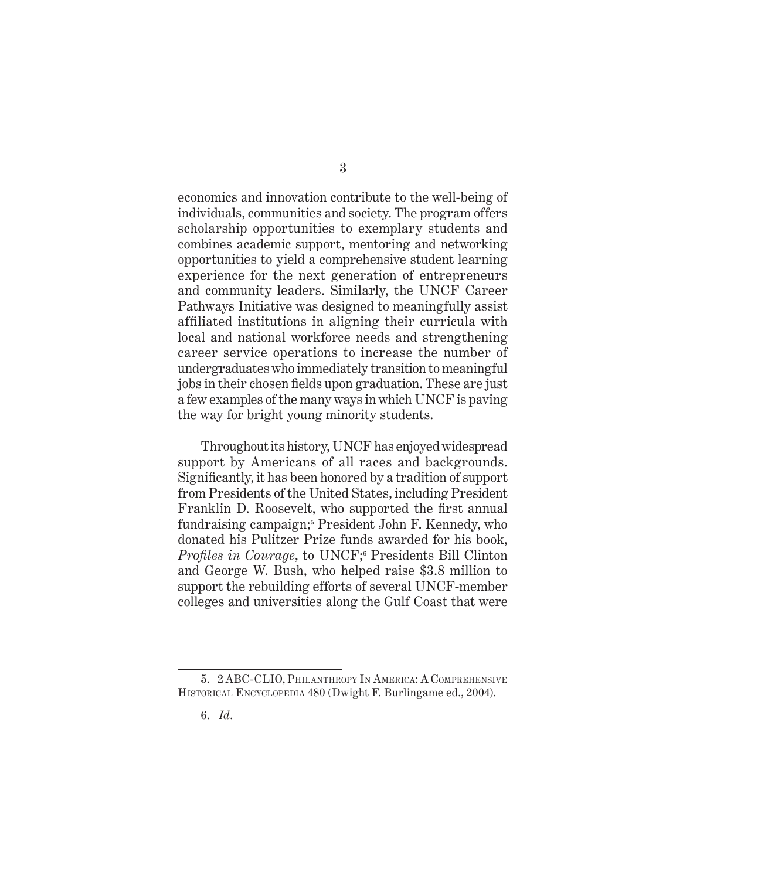economics and innovation contribute to the well-being of individuals, communities and society. The program offers scholarship opportunities to exemplary students and combines academic support, mentoring and networking opportunities to yield a comprehensive student learning experience for the next generation of entrepreneurs and community leaders. Similarly, the UNCF Career Pathways Initiative was designed to meaningfully assist affiliated institutions in aligning their curricula with local and national workforce needs and strengthening career service operations to increase the number of undergraduates who immediately transition to meaningful jobs in their chosen fields upon graduation. These are just a few examples of the many ways in which UNCF is paving the way for bright young minority students.

Throughout its history, UNCF has enjoyed widespread support by Americans of all races and backgrounds. Significantly, it has been honored by a tradition of support from Presidents of the United States, including President Franklin D. Roosevelt, who supported the first annual fundraising campaign;<sup>5</sup> President John F. Kennedy, who donated his Pulitzer Prize funds awarded for his book, *Profiles in Courage*, to UNCF;<sup>6</sup> Presidents Bill Clinton and George W. Bush, who helped raise \$3.8 million to support the rebuilding efforts of several UNCF-member colleges and universities along the Gulf Coast that were

<sup>5. 2</sup> ABC-CLIO, Philanthropy In America: A Comprehensive HISTORICAL ENCYCLOPEDIA 480 (Dwight F. Burlingame ed., 2004).

<sup>6.</sup> *Id*.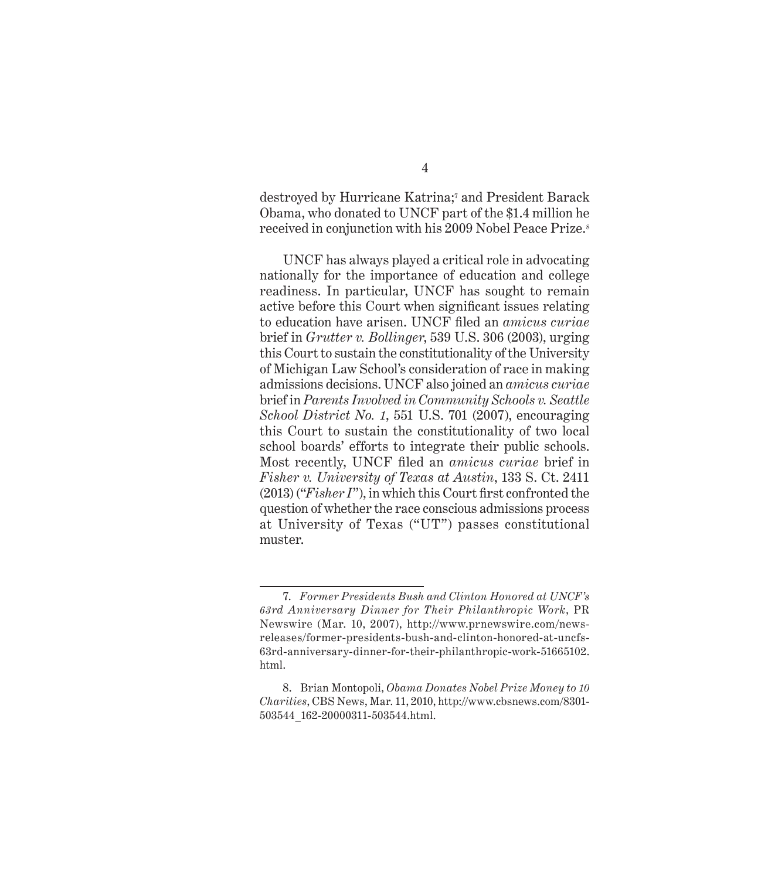destroyed by Hurricane Katrina;<sup>7</sup> and President Barack Obama, who donated to UNCF part of the \$1.4 million he received in conjunction with his 2009 Nobel Peace Prize.<sup>8</sup>

UNCF has always played a critical role in advocating nationally for the importance of education and college readiness. In particular, UNCF has sought to remain active before this Court when significant issues relating to education have arisen. UNCF filed an *amicus curiae* brief in *Grutter v. Bollinger*, 539 U.S. 306 (2003), urging this Court to sustain the constitutionality of the University of Michigan Law School's consideration of race in making admissions decisions. UNCF also joined an *amicus curiae* brief in *Parents Involved in Community Schools v. Seattle School District No. 1*, 551 U.S. 701 (2007), encouraging this Court to sustain the constitutionality of two local school boards' efforts to integrate their public schools. Most recently, UNCF filed an *amicus curiae* brief in *Fisher v. University of Texas at Austin*, 133 S. Ct. 2411 (2013) ("*Fisher I*"), in which this Court first confronted the question of whether the race conscious admissions process at University of Texas ("UT") passes constitutional muster.

#### 4

<sup>7.</sup> *Former Presidents Bush and Clinton Honored at UNCF's 63rd Anniversary Dinner for Their Philanthropic Work*, PR Newswire (Mar. 10, 2007), http://www.prnewswire.com/newsreleases/former-presidents-bush-and-clinton-honored-at-uncfs-63rd-anniversary-dinner-for-their-philanthropic-work-51665102. html.

<sup>8.</sup> Brian Montopoli, *Obama Donates Nobel Prize Money to 10 Charities*, CBS News, Mar. 11, 2010, http://www.cbsnews.com/8301- 503544\_162-20000311-503544.html.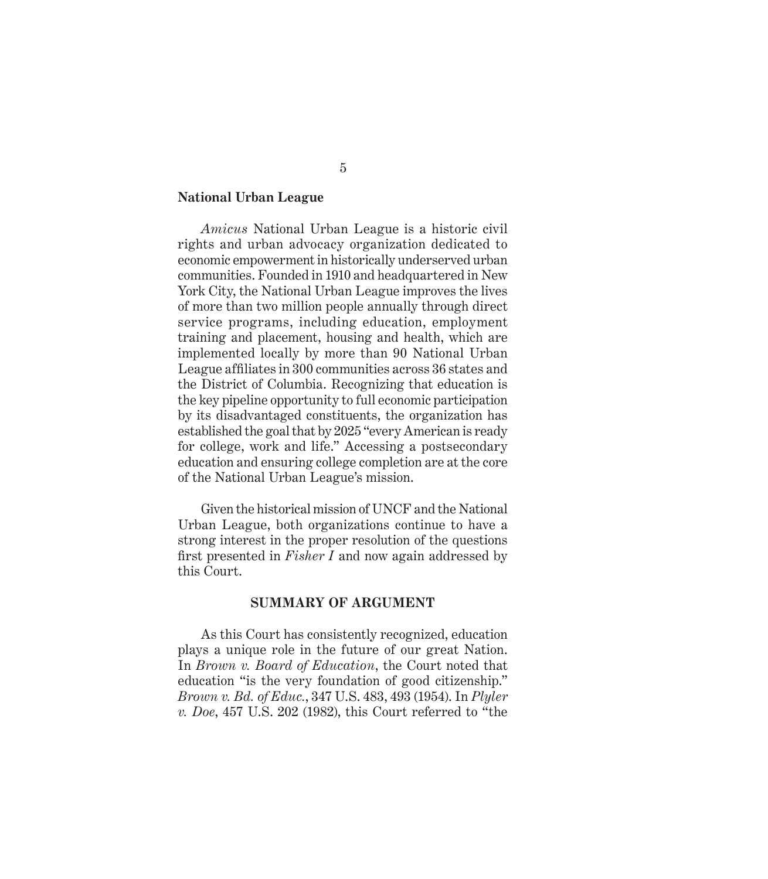#### **National Urban League**

*Amicus* National Urban League is a historic civil rights and urban advocacy organization dedicated to economic empowerment in historically underserved urban communities. Founded in 1910 and headquartered in New York City, the National Urban League improves the lives of more than two million people annually through direct service programs, including education, employment training and placement, housing and health, which are implemented locally by more than 90 National Urban League affiliates in 300 communities across 36 states and the District of Columbia. Recognizing that education is the key pipeline opportunity to full economic participation by its disadvantaged constituents, the organization has established the goal that by 2025 "every American is ready for college, work and life." Accessing a postsecondary education and ensuring college completion are at the core of the National Urban League's mission.

Given the historical mission of UNCF and the National Urban League, both organizations continue to have a strong interest in the proper resolution of the questions first presented in *Fisher I* and now again addressed by this Court.

#### **SUMMARY OF ARGUMENT**

As this Court has consistently recognized, education plays a unique role in the future of our great Nation. In *Brown v. Board of Education*, the Court noted that education "is the very foundation of good citizenship." *Brown v. Bd. of Educ.*, 347 U.S. 483, 493 (1954). In *Plyler v. Doe*, 457 U.S. 202 (1982), this Court referred to "the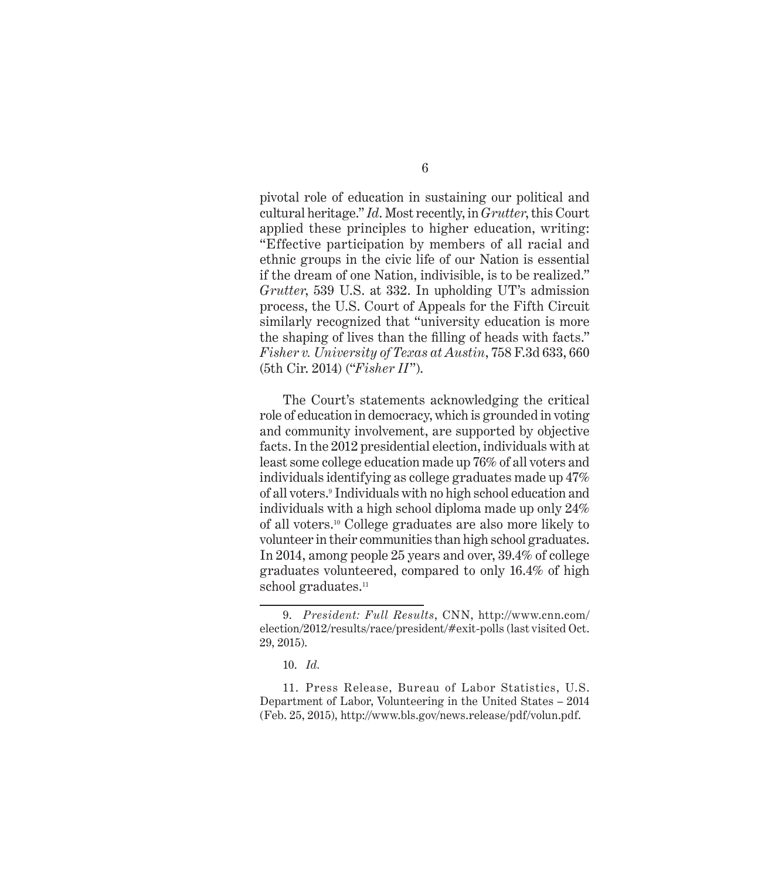pivotal role of education in sustaining our political and cultural heritage." *Id*. Most recently, in *Grutter*, this Court applied these principles to higher education, writing: "Effective participation by members of all racial and ethnic groups in the civic life of our Nation is essential if the dream of one Nation, indivisible, is to be realized." *Grutter*, 539 U.S. at 332. In upholding UT's admission process, the U.S. Court of Appeals for the Fifth Circuit similarly recognized that "university education is more the shaping of lives than the filling of heads with facts." *Fisher v. University of Texas at Austin*, 758 F.3d 633, 660 (5th Cir. 2014) ("*Fisher II*").

The Court's statements acknowledging the critical role of education in democracy, which is grounded in voting and community involvement, are supported by objective facts. In the 2012 presidential election, individuals with at least some college education made up 76% of all voters and individuals identifying as college graduates made up 47% of all voters.<sup>9</sup> Individuals with no high school education and individuals with a high school diploma made up only 24% of all voters.10 College graduates are also more likely to volunteer in their communities than high school graduates. In 2014, among people 25 years and over, 39.4% of college graduates volunteered, compared to only 16.4% of high school graduates.<sup>11</sup>

11. Press Release, Bureau of Labor Statistics, U.S. Department of Labor, Volunteering in the United States – 2014 (Feb. 25, 2015), http://www.bls.gov/news.release/pdf/volun.pdf.

<sup>9.</sup> *President: Full Results*, CNN, http://www.cnn.com/ election/2012/results/race/president/#exit-polls (last visited Oct. 29, 2015).

<sup>10.</sup> *Id.*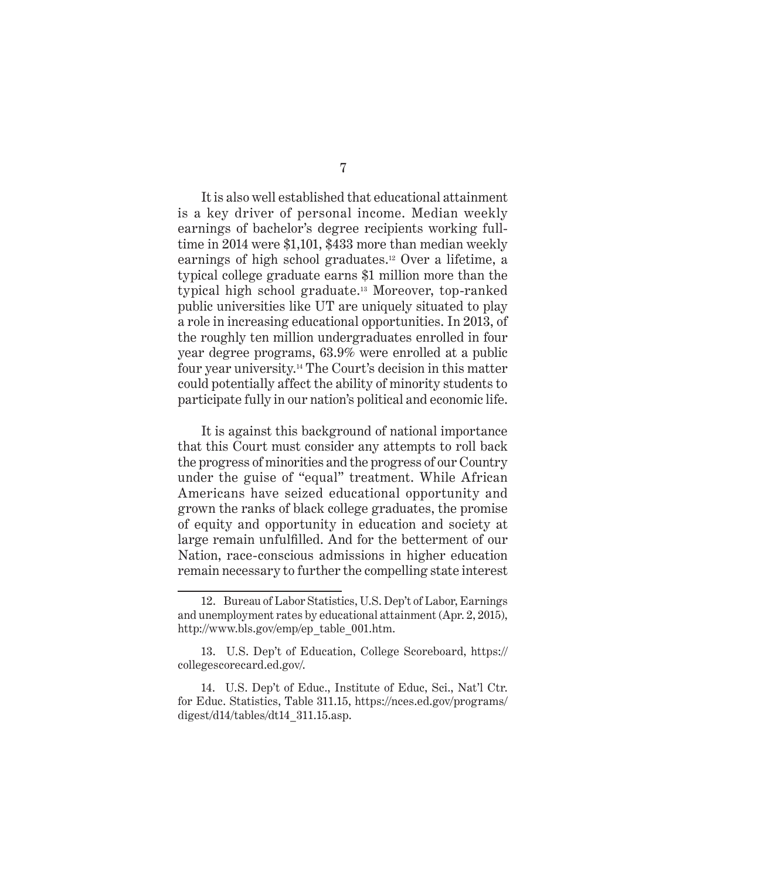7

It is also well established that educational attainment is a key driver of personal income. Median weekly earnings of bachelor's degree recipients working fulltime in 2014 were \$1,101, \$433 more than median weekly earnings of high school graduates.12 Over a lifetime, a typical college graduate earns \$1 million more than the typical high school graduate.13 Moreover, top-ranked public universities like UT are uniquely situated to play a role in increasing educational opportunities. In 2013, of the roughly ten million undergraduates enrolled in four year degree programs, 63.9% were enrolled at a public four year university.14 The Court's decision in this matter could potentially affect the ability of minority students to participate fully in our nation's political and economic life.

It is against this background of national importance that this Court must consider any attempts to roll back the progress of minorities and the progress of our Country under the guise of "equal" treatment. While African Americans have seized educational opportunity and grown the ranks of black college graduates, the promise of equity and opportunity in education and society at large remain unfulfilled. And for the betterment of our Nation, race-conscious admissions in higher education remain necessary to further the compelling state interest

<sup>12.</sup> Bureau of Labor Statistics, U.S. Dep't of Labor, Earnings and unemployment rates by educational attainment (Apr. 2, 2015), http://www.bls.gov/emp/ep\_table\_001.htm.

<sup>13.</sup> U.S. Dep't of Education, College Scoreboard, https:// collegescorecard.ed.gov/.

<sup>14.</sup> U.S. Dep't of Educ., Institute of Educ, Sci., Nat'l Ctr. for Educ. Statistics, Table 311.15, https://nces.ed.gov/programs/ digest/d14/tables/dt14\_311.15.asp.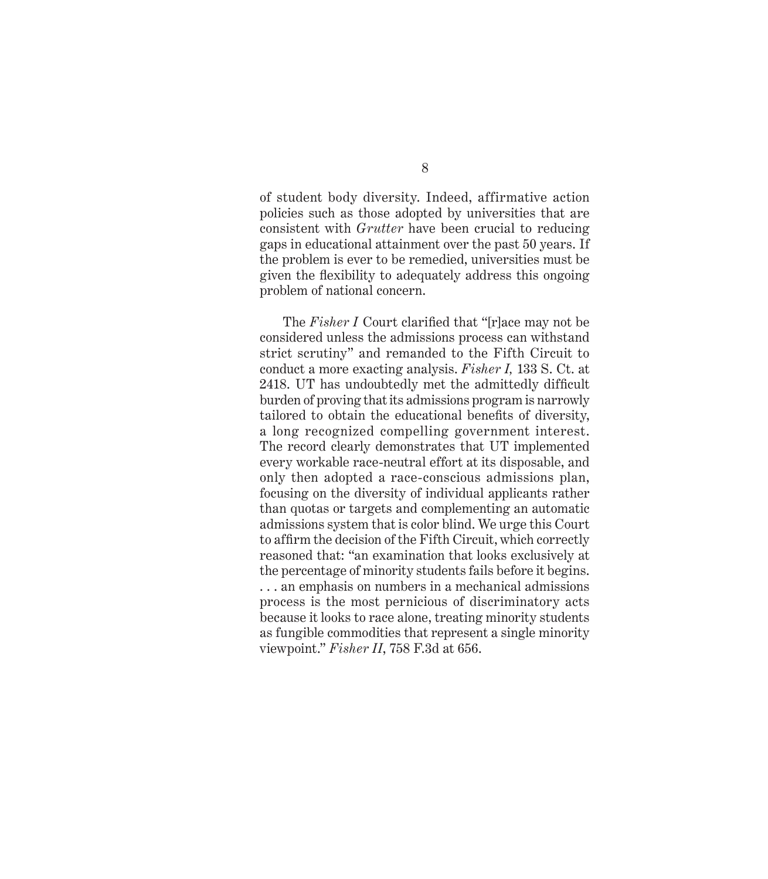of student body diversity. Indeed, affirmative action policies such as those adopted by universities that are consistent with *Grutter* have been crucial to reducing gaps in educational attainment over the past 50 years. If the problem is ever to be remedied, universities must be given the flexibility to adequately address this ongoing problem of national concern.

The *Fisher I* Court clarified that "[r]ace may not be considered unless the admissions process can withstand strict scrutiny" and remanded to the Fifth Circuit to conduct a more exacting analysis. *Fisher I,* 133 S. Ct. at 2418. UT has undoubtedly met the admittedly difficult burden of proving that its admissions program is narrowly tailored to obtain the educational benefits of diversity, a long recognized compelling government interest. The record clearly demonstrates that UT implemented every workable race-neutral effort at its disposable, and only then adopted a race-conscious admissions plan, focusing on the diversity of individual applicants rather than quotas or targets and complementing an automatic admissions system that is color blind. We urge this Court to affirm the decision of the Fifth Circuit, which correctly reasoned that: "an examination that looks exclusively at the percentage of minority students fails before it begins. . . . an emphasis on numbers in a mechanical admissions process is the most pernicious of discriminatory acts because it looks to race alone, treating minority students as fungible commodities that represent a single minority viewpoint." *Fisher II*, 758 F.3d at 656.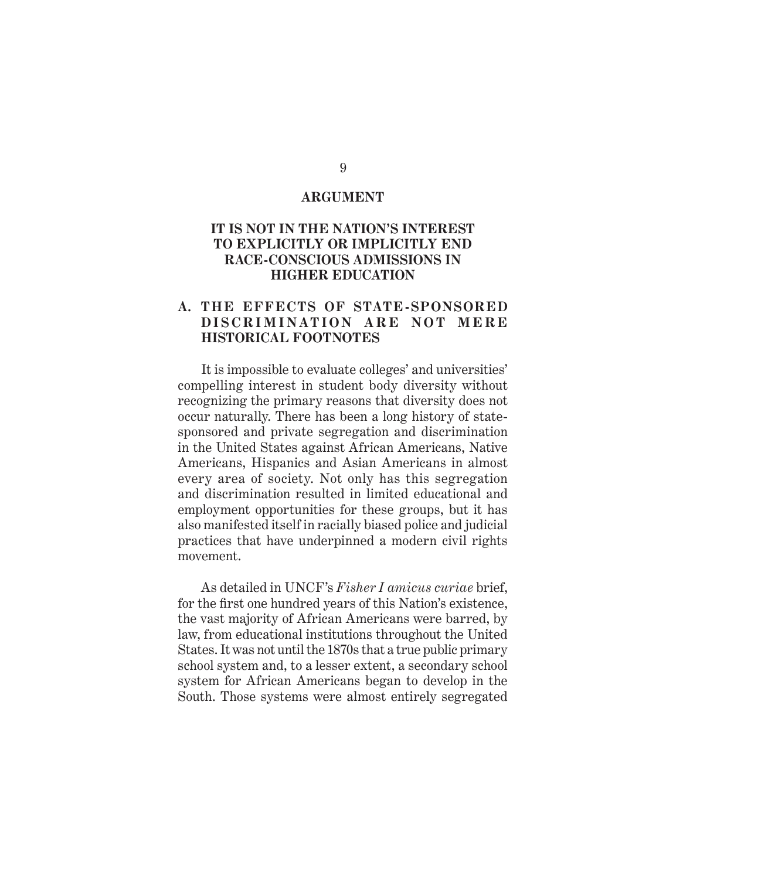#### **ARGUMENT**

#### **IT IS NOT IN THE NATION'S INTEREST TO EXPLICITLY OR IMPLICITLY END RACE-CONSCIOUS ADMISSIONS IN HIGHER EDUCATION**

#### **A. THE EFFECTS OF STATE- SPONSORED DISCRIMINATION ARE NOT MERE HISTORICAL FOOTNOTES**

It is impossible to evaluate colleges' and universities' compelling interest in student body diversity without recognizing the primary reasons that diversity does not occur naturally. There has been a long history of statesponsored and private segregation and discrimination in the United States against African Americans, Native Americans, Hispanics and Asian Americans in almost every area of society. Not only has this segregation and discrimination resulted in limited educational and employment opportunities for these groups, but it has also manifested itself in racially biased police and judicial practices that have underpinned a modern civil rights movement.

As detailed in UNCF's *Fisher I amicus curiae* brief, for the first one hundred years of this Nation's existence, the vast majority of African Americans were barred, by law, from educational institutions throughout the United States. It was not until the 1870s that a true public primary school system and, to a lesser extent, a secondary school system for African Americans began to develop in the South. Those systems were almost entirely segregated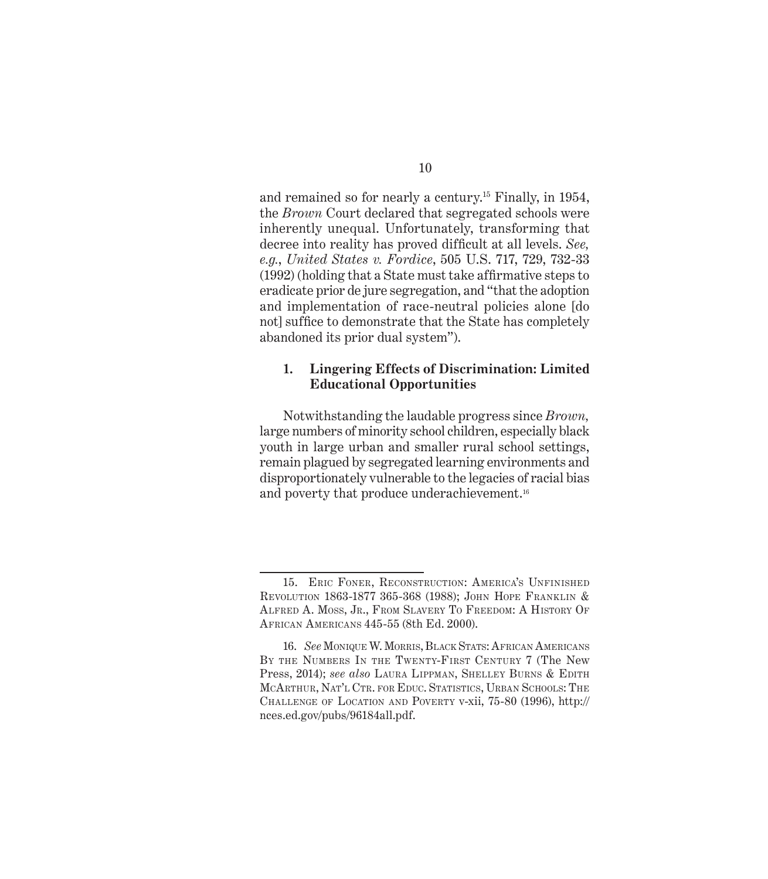and remained so for nearly a century.15 Finally, in 1954, the *Brown* Court declared that segregated schools were inherently unequal. Unfortunately, transforming that decree into reality has proved difficult at all levels. *See, e.g.*, *United States v. Fordice*, 505 U.S. 717, 729, 732-33 (1992) (holding that a State must take affirmative steps to eradicate prior de jure segregation, and "that the adoption and implementation of race-neutral policies alone [do not] suffice to demonstrate that the State has completely abandoned its prior dual system").

#### **1. Lingering Effects of Discrimination: Limited Educational Opportunities**

Notwithstanding the laudable progress since *Brown,* large numbers of minority school children, especially black youth in large urban and smaller rural school settings, remain plagued by segregated learning environments and disproportionately vulnerable to the legacies of racial bias and poverty that produce underachievement.<sup>16</sup>

<sup>15.</sup> Eric Foner, Reconstruction: America's Unfinished Revolution 1863-1877 365-368 (1988); John Hope Franklin & Alfred A. Moss, Jr., From Slavery To Freedom: A History Of African Americans 445-55 (8th Ed. 2000).

<sup>16.</sup> *See* Monique W. Morris, Black Stats: African Americans BY THE NUMBERS IN THE TWENTY-FIRST CENTURY 7 (The New Press, 2014); *see also* Laura Lippman, Shelley Burns & Edith McArthur, Nat'l Ctr. for Educ. Statistics, Urban Schools: The Challenge of Location and Poverty v-xii, 75-80 (1996), http:// nces.ed.gov/pubs/96184all.pdf.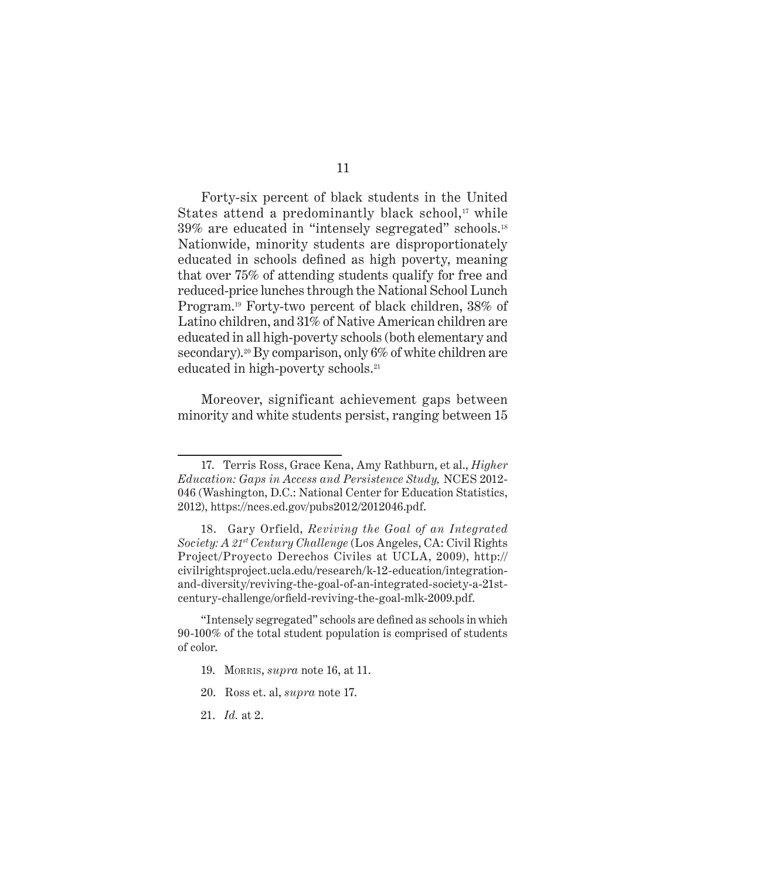Forty-six percent of black students in the United States attend a predominantly black school, $\alpha$ <sup>17</sup> while 39% are educated in "intensely segregated" schools.<sup>18</sup> Nationwide, minority students are disproportionately educated in schools defined as high poverty, meaning that over 75% of attending students qualify for free and reduced-price lunches through the National School Lunch Program.19 Forty-two percent of black children, 38% of Latino children, and 31% of Native American children are educated in all high-poverty schools (both elementary and secondary).<sup>20</sup> By comparison, only 6% of white children are educated in high-poverty schools.<sup>21</sup>

Moreover, significant achievement gaps between minority and white students persist, ranging between 15

- 20. Ross et. al, *supra* note 17.
- 21. *Id.* at 2.

<sup>17.</sup> Terris Ross, Grace Kena, Amy Rathburn, et al., *Higher Education: Gaps in Access and Persistence Study,* NCES 2012- 046 (Washington, D.C.: National Center for Education Statistics, 2012), https://nces.ed.gov/pubs2012/2012046.pdf.

<sup>18.</sup> Gary Orfield, *Reviving the Goal of an Integrated Society: A 21st Century Challenge* (Los Angeles, CA: Civil Rights Project/Proyecto Derechos Civiles at UCLA, 2009), http:// civilrightsproject.ucla.edu/research/k-12-education/integrationand-diversity/reviving-the-goal-of-an-integrated-society-a-21stcentury-challenge/orfield-reviving-the-goal-mlk-2009.pdf.

<sup>&</sup>quot;Intensely segregated" schools are defined as schools in which 90-100% of the total student population is comprised of students of color.

<sup>19.</sup> Morris, *supra* note 16, at 11.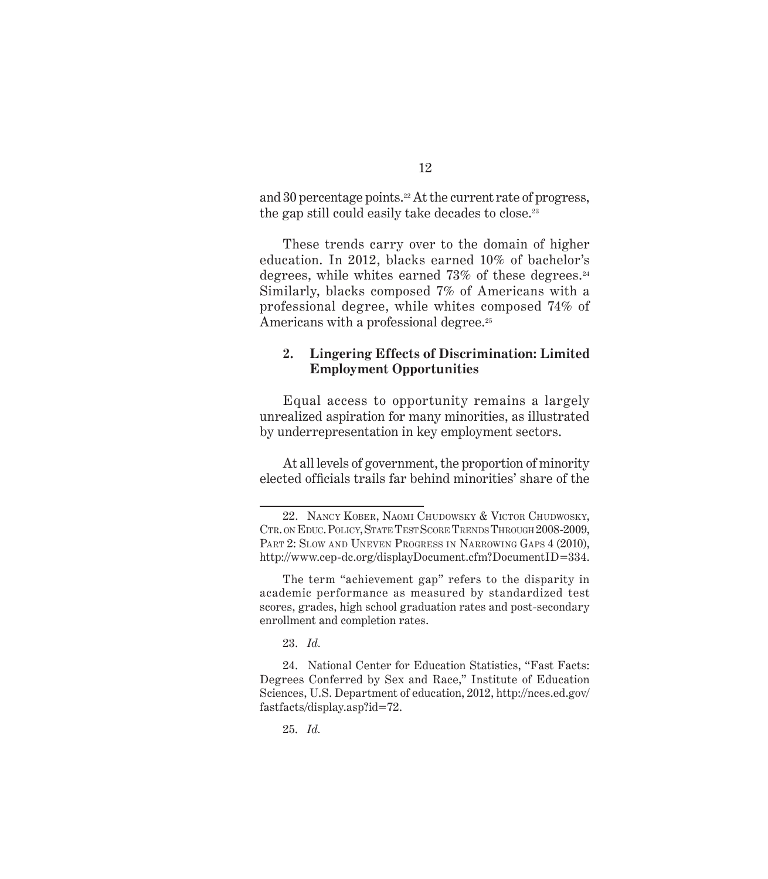and 30 percentage points.<sup>22</sup> At the current rate of progress, the gap still could easily take decades to close.<sup>23</sup>

These trends carry over to the domain of higher education. In 2012, blacks earned 10% of bachelor's degrees, while whites earned  $73\%$  of these degrees.<sup>24</sup> Similarly, blacks composed 7% of Americans with a professional degree, while whites composed 74% of Americans with a professional degree.<sup>25</sup>

#### **2. Lingering Effects of Discrimination: Limited Employment Opportunities**

Equal access to opportunity remains a largely unrealized aspiration for many minorities, as illustrated by underrepresentation in key employment sectors.

At all levels of government, the proportion of minority elected officials trails far behind minorities' share of the

23. *Id.*

25. *Id.*

<sup>22.</sup> Nancy Kober, Naomi Chudowsky & Victor Chudwosky, CTR. ON EDUC. POLICY, STATE TEST SCORE TRENDS THROUGH 2008-2009, PART 2: SLOW AND UNEVEN PROGRESS IN NARROWING GAPS 4 (2010), http://www.cep-dc.org/displayDocument.cfm?DocumentID=334.

The term "achievement gap" refers to the disparity in academic performance as measured by standardized test scores, grades, high school graduation rates and post-secondary enrollment and completion rates.

<sup>24.</sup> National Center for Education Statistics, "Fast Facts: Degrees Conferred by Sex and Race," Institute of Education Sciences, U.S. Department of education, 2012, http://nces.ed.gov/ fastfacts/display.asp?id=72.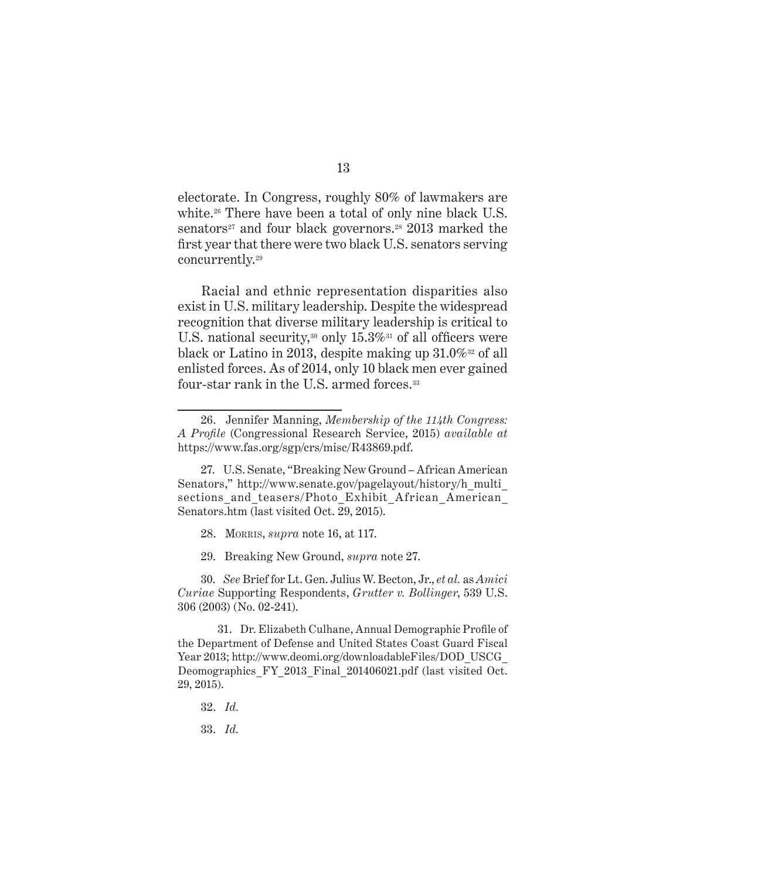electorate. In Congress, roughly 80% of lawmakers are white.<sup>26</sup> There have been a total of only nine black U.S. senators<sup>27</sup> and four black governors.<sup>28</sup> 2013 marked the first year that there were two black U.S. senators serving concurrently.29

Racial and ethnic representation disparities also exist in U.S. military leadership. Despite the widespread recognition that diverse military leadership is critical to U.S. national security,<sup>30</sup> only 15.3%<sup>31</sup> of all officers were black or Latino in 2013, despite making up  $31.0\%$ <sup>32</sup> of all enlisted forces. As of 2014, only 10 black men ever gained four-star rank in the U.S. armed forces.<sup>33</sup>

28. Morris, *supra* note 16, at 117.

29. Breaking New Ground, *supra* note 27.

30. *See* Brief for Lt. Gen. Julius W. Becton, Jr., *et al.* as *Amici Curiae* Supporting Respondents, *Grutter v. Bollinger*, 539 U.S. 306 (2003) (No. 02-241).

31. Dr. Elizabeth Culhane, Annual Demographic Profile of the Department of Defense and United States Coast Guard Fiscal Year 2013; http://www.deomi.org/downloadableFiles/DOD\_USCG\_ Deomographics FY\_2013\_Final\_201406021.pdf (last visited Oct. 29, 2015).

32. *Id.*

33. *Id.*

<sup>26.</sup> Jennifer Manning, *Membership of the 114th Congress: A Profile* (Congressional Research Service, 2015) *available at* https://www.fas.org/sgp/crs/misc/R43869.pdf.

<sup>27.</sup> U.S. Senate, "Breaking New Ground – African American Senators," http://www.senate.gov/pagelayout/history/h\_multi\_ sections\_and\_teasers/Photo\_Exhibit\_African\_American\_ Senators.htm (last visited Oct. 29, 2015).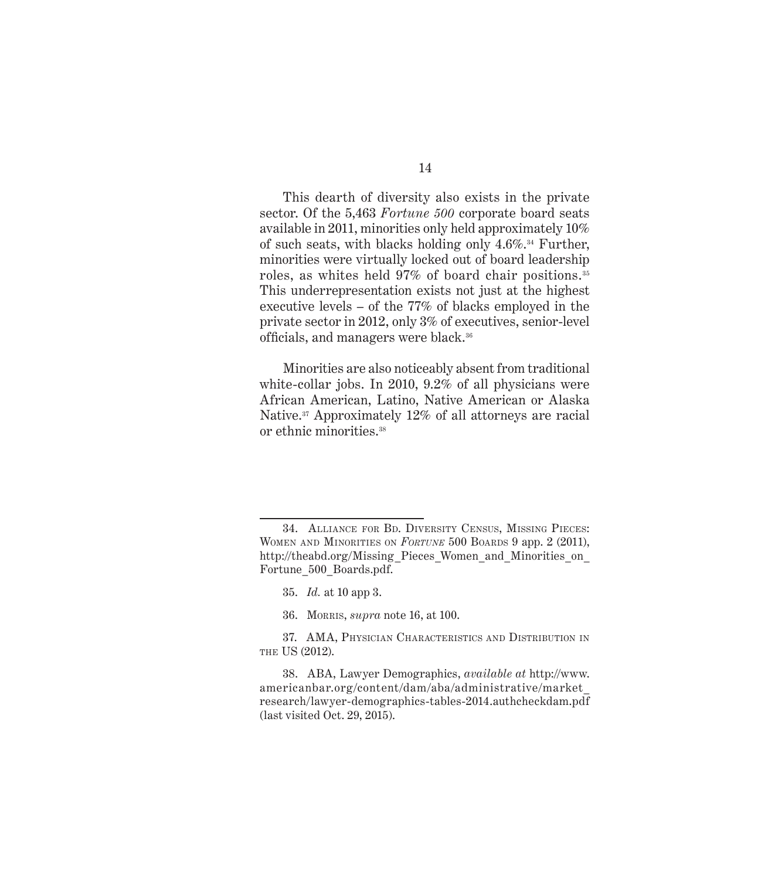This dearth of diversity also exists in the private sector. Of the 5,463 *Fortune 500* corporate board seats available in 2011, minorities only held approximately 10% of such seats, with blacks holding only  $4.6\%$ .<sup>34</sup> Further, minorities were virtually locked out of board leadership roles, as whites held 97% of board chair positions. <sup>35</sup> This underrepresentation exists not just at the highest executive levels – of the 77% of blacks employed in the private sector in 2012, only 3% of executives, senior-level officials, and managers were black.36

Minorities are also noticeably absent from traditional white-collar jobs. In 2010, 9.2% of all physicians were African American, Latino, Native American or Alaska Native.37 Approximately 12% of all attorneys are racial or ethnic minorities.38

36. Morris, *supra* note 16, at 100.

<sup>34.</sup> Alliance for Bd. Diversity Census, Missing Pieces: Women and Minorities on *Fortune* 500 Boards 9 app. 2 (2011), http://theabd.org/Missing\_Pieces\_Women\_and\_Minorities\_on Fortune\_500\_Boards.pdf.

<sup>35.</sup> *Id.* at 10 app 3.

<sup>37.</sup> AMA, Physician Characteristics and Distribution in THE US (2012).

<sup>38.</sup> ABA, Lawyer Demographics, *available at* http://www. americanbar.org/content/dam/aba/administrative/market\_ research/lawyer-demographics-tables-2014.authcheckdam.pdf (last visited Oct. 29, 2015).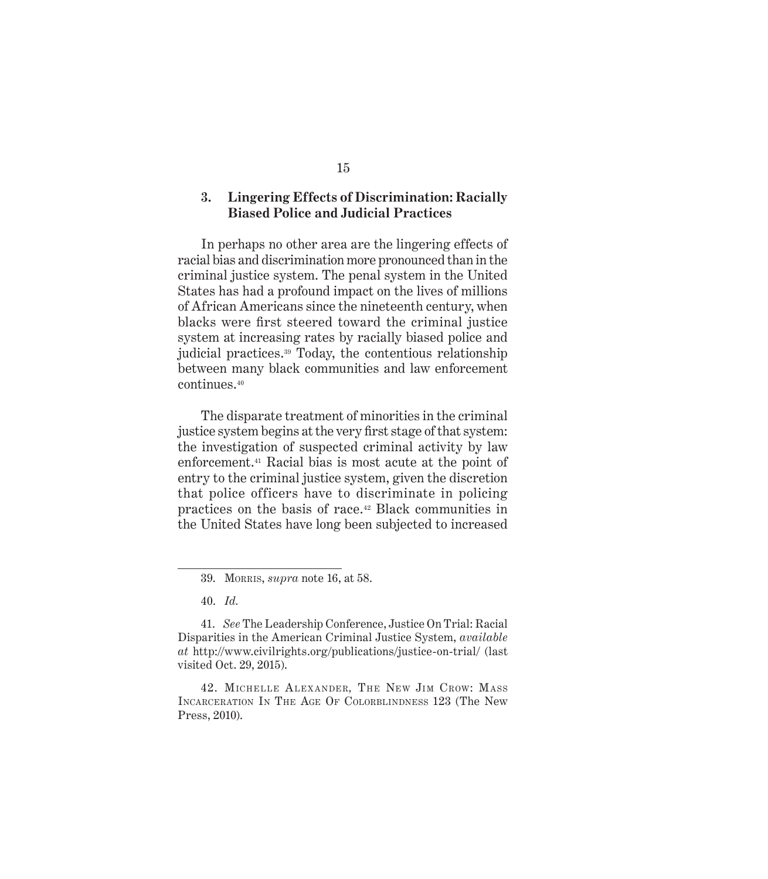#### **3. Lingering Effects of Discrimination: Racially Biased Police and Judicial Practices**

In perhaps no other area are the lingering effects of racial bias and discrimination more pronounced than in the criminal justice system. The penal system in the United States has had a profound impact on the lives of millions of African Americans since the nineteenth century, when blacks were first steered toward the criminal justice system at increasing rates by racially biased police and judicial practices.39 Today, the contentious relationship between many black communities and law enforcement continues.40

The disparate treatment of minorities in the criminal justice system begins at the very first stage of that system: the investigation of suspected criminal activity by law enforcement.41 Racial bias is most acute at the point of entry to the criminal justice system, given the discretion that police officers have to discriminate in policing practices on the basis of race.42 Black communities in the United States have long been subjected to increased

40. *Id.*

<sup>39.</sup> Morris, *supra* note 16, at 58.

<sup>41.</sup> *See* The Leadership Conference, Justice On Trial: Racial Disparities in the American Criminal Justice System, *available at* http://www.civilrights.org/publications/justice-on-trial/ (last visited Oct. 29, 2015).

<sup>42.</sup> MICHELLE ALEXANDER, THE NEW JIM CROW: MASS Incarceration In The Age Of Colorblindness 123 (The New Press, 2010).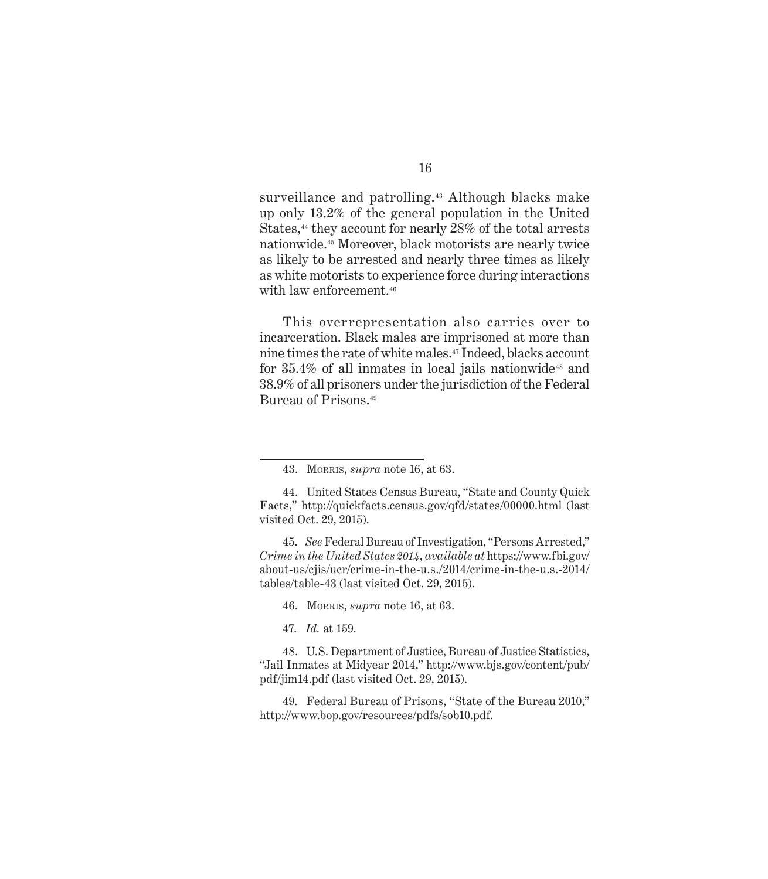surveillance and patrolling.<sup>43</sup> Although blacks make up only 13.2% of the general population in the United States,<sup>44</sup> they account for nearly 28% of the total arrests nationwide.45 Moreover, black motorists are nearly twice as likely to be arrested and nearly three times as likely as white motorists to experience force during interactions with law enforcement.<sup>46</sup>

This overrepresentation also carries over to incarceration. Black males are imprisoned at more than nine times the rate of white males.47 Indeed, blacks account for  $35.4\%$  of all inmates in local jails nationwide<sup>48</sup> and 38.9% of all prisoners under the jurisdiction of the Federal Bureau of Prisons.<sup>49</sup>

45. *See* Federal Bureau of Investigation, "Persons Arrested," *Crime in the United States 2014*, *available at* https://www.fbi.gov/ about-us/cjis/ucr/crime-in-the-u.s./2014/crime-in-the-u.s.-2014/ tables/table-43 (last visited Oct. 29, 2015).

46. Morris, *supra* note 16, at 63.

47. *Id.* at 159.

48. U.S. Department of Justice, Bureau of Justice Statistics, "Jail Inmates at Midyear 2014," http://www.bjs.gov/content/pub/ pdf/jim14.pdf (last visited Oct. 29, 2015).

49. Federal Bureau of Prisons, "State of the Bureau 2010," http://www.bop.gov/resources/pdfs/sob10.pdf.

<sup>43.</sup> Morris, *supra* note 16, at 63.

<sup>44.</sup> United States Census Bureau, "State and County Quick Facts," http://quickfacts.census.gov/qfd/states/00000.html (last visited Oct. 29, 2015).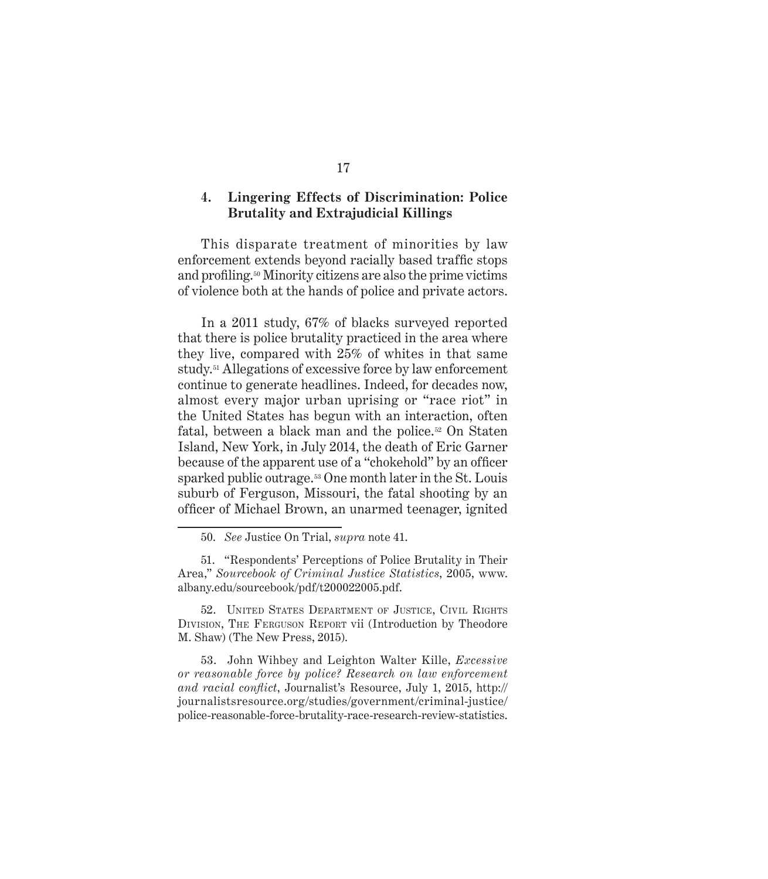#### **4. Lingering Effects of Discrimination: Police Brutality and Extrajudicial Killings**

This disparate treatment of minorities by law enforcement extends beyond racially based traffic stops and profiling.50 Minority citizens are also the prime victims of violence both at the hands of police and private actors.

In a 2011 study, 67% of blacks surveyed reported that there is police brutality practiced in the area where they live, compared with 25% of whites in that same study.51 Allegations of excessive force by law enforcement continue to generate headlines. Indeed, for decades now, almost every major urban uprising or "race riot" in the United States has begun with an interaction, often fatal, between a black man and the police.52 On Staten Island, New York, in July 2014, the death of Eric Garner because of the apparent use of a "chokehold" by an officer sparked public outrage.<sup>53</sup> One month later in the St. Louis suburb of Ferguson, Missouri, the fatal shooting by an officer of Michael Brown, an unarmed teenager, ignited

52. UNITED STATES DEPARTMENT OF JUSTICE, CIVIL RIGHTS Division, The Ferguson Report vii (Introduction by Theodore M. Shaw) (The New Press, 2015).

53. John Wihbey and Leighton Walter Kille, *Excessive or reasonable force by police? Research on law enforcement and racial conflict*, Journalist's Resource, July 1, 2015, http:// journalistsresource.org/studies/government/criminal-justice/ police-reasonable-force-brutality-race-research-review-statistics.

<sup>50.</sup> *See* Justice On Trial, *supra* note 41.

<sup>51. &</sup>quot;Respondents' Perceptions of Police Brutality in Their Area," *Sourcebook of Criminal Justice Statistics*, 2005, www. albany.edu/sourcebook/pdf/t200022005.pdf.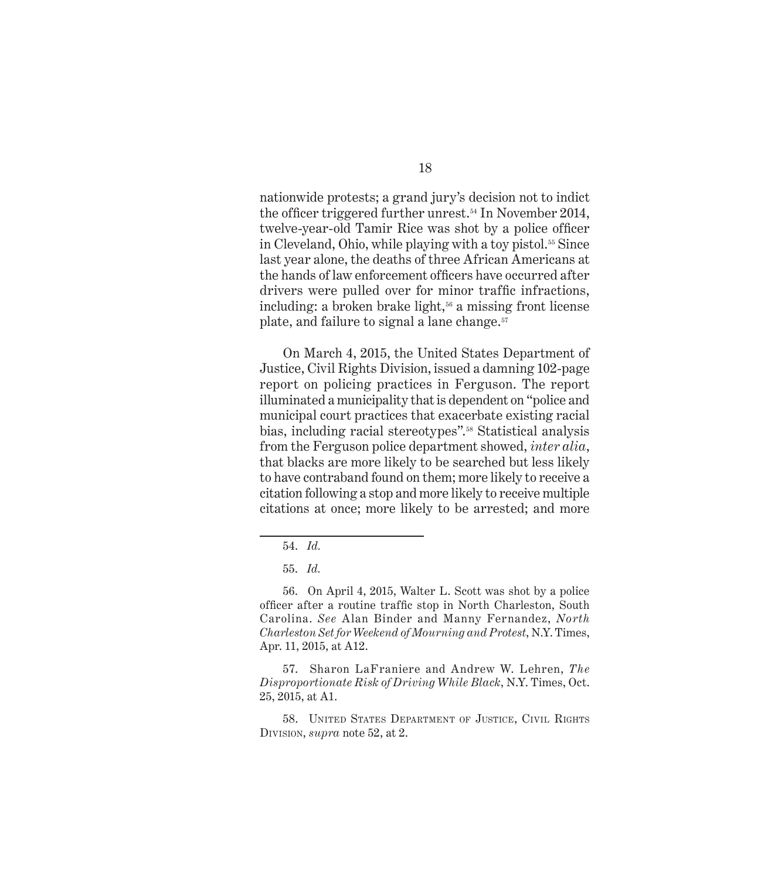nationwide protests; a grand jury's decision not to indict the officer triggered further unrest.54 In November 2014, twelve-year-old Tamir Rice was shot by a police officer in Cleveland, Ohio, while playing with a toy pistol.<sup>55</sup> Since last year alone, the deaths of three African Americans at the hands of law enforcement officers have occurred after drivers were pulled over for minor traffic infractions, including: a broken brake light, $56$  a missing front license plate, and failure to signal a lane change.<sup>57</sup>

On March 4, 2015, the United States Department of Justice, Civil Rights Division, issued a damning 102-page report on policing practices in Ferguson. The report illuminated a municipality that is dependent on "police and municipal court practices that exacerbate existing racial bias, including racial stereotypes".58 Statistical analysis from the Ferguson police department showed, *inter alia*, that blacks are more likely to be searched but less likely to have contraband found on them; more likely to receive a citation following a stop and more likely to receive multiple citations at once; more likely to be arrested; and more

57. Sharon LaFraniere and Andrew W. Lehren, *The Disproportionate Risk of Driving While Black*, N.Y. Times, Oct. 25, 2015, at A1.

58. UNITED STATES DEPARTMENT OF JUSTICE, CIVIL RIGHTS Division, *supra* note 52, at 2.

<sup>54.</sup> *Id.*

<sup>55.</sup> *Id.*

<sup>56.</sup> On April 4, 2015, Walter L. Scott was shot by a police officer after a routine traffic stop in North Charleston, South Carolina. *See* Alan Binder and Manny Fernandez, *North Charleston Set for Weekend of Mourning and Protest*, N.Y. Times, Apr. 11, 2015, at A12.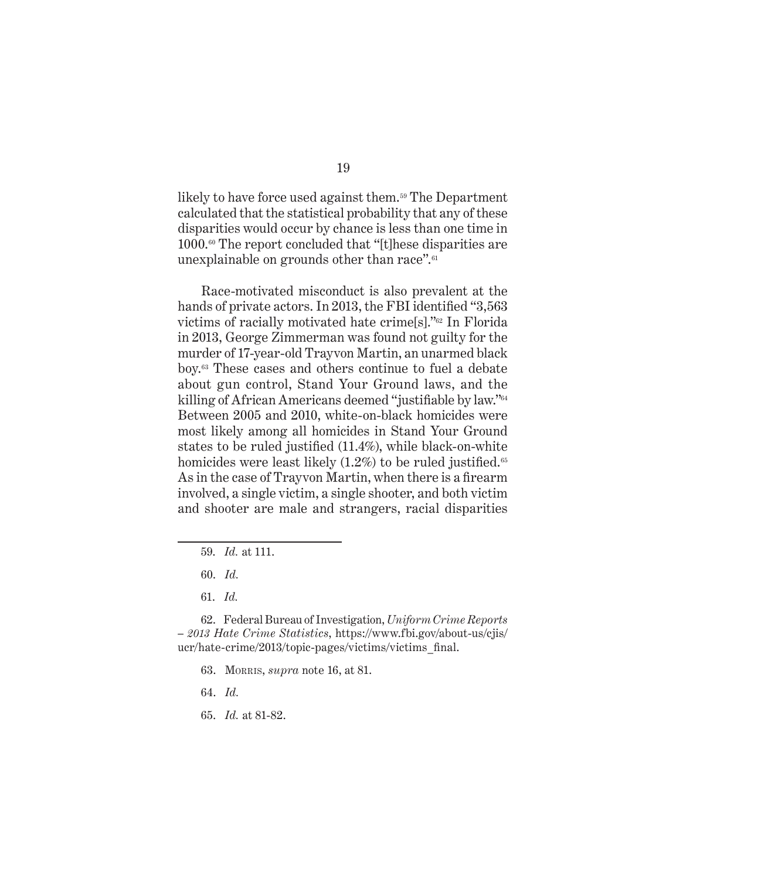likely to have force used against them.<sup>59</sup> The Department calculated that the statistical probability that any of these disparities would occur by chance is less than one time in 1000.60 The report concluded that "[t]hese disparities are unexplainable on grounds other than race".<sup>61</sup>

Race-motivated misconduct is also prevalent at the hands of private actors. In 2013, the FBI identified "3,563" victims of racially motivated hate crime[s]."62 In Florida in 2013, George Zimmerman was found not guilty for the murder of 17-year-old Trayvon Martin, an unarmed black boy.63 These cases and others continue to fuel a debate about gun control, Stand Your Ground laws, and the killing of African Americans deemed "justifiable by law."64 Between 2005 and 2010, white-on-black homicides were most likely among all homicides in Stand Your Ground states to be ruled justified (11.4%), while black-on-white homicides were least likely  $(1.2\%)$  to be ruled justified.<sup>65</sup> As in the case of Trayvon Martin, when there is a firearm involved, a single victim, a single shooter, and both victim and shooter are male and strangers, racial disparities

- 63. Morris, *supra* note 16, at 81.
- 64. *Id.*
- 65. *Id.* at 81-82.

<sup>59.</sup> *Id.* at 111.

<sup>60.</sup> *Id.*

<sup>61.</sup> *Id.*

<sup>62.</sup> Federal Bureau of Investigation, *Uniform Crime Reports – 2013 Hate Crime Statistics*, https://www.fbi.gov/about-us/cjis/ ucr/hate-crime/2013/topic-pages/victims/victims\_final.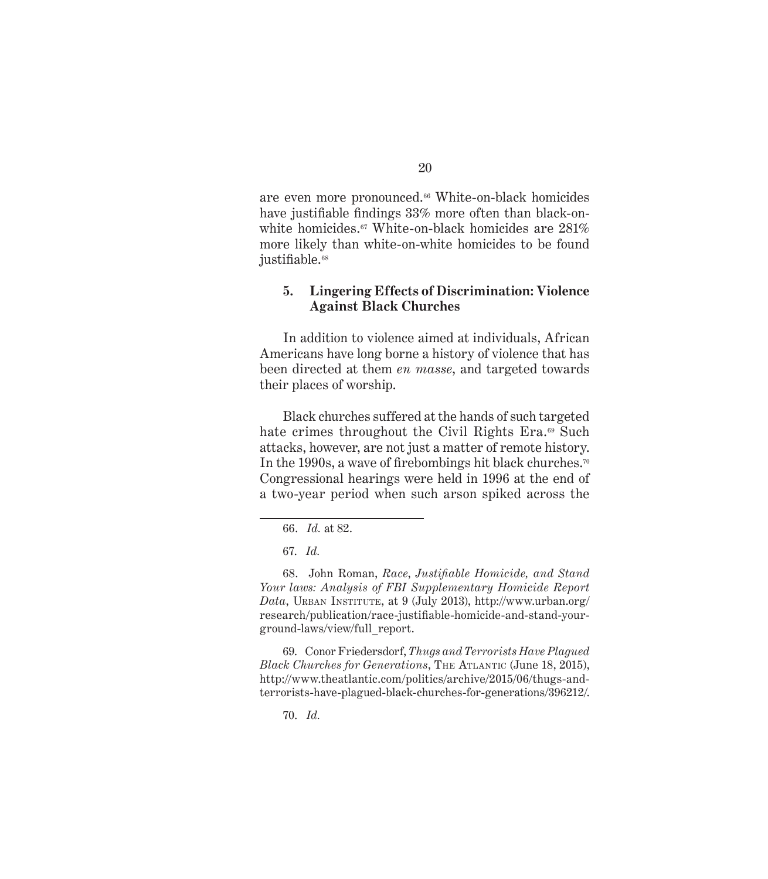are even more pronounced.<sup>66</sup> White-on-black homicides have justifiable findings 33% more often than black-onwhite homicides.<sup>67</sup> White-on-black homicides are  $281\%$ more likely than white-on-white homicides to be found justifiable.<sup>68</sup>

#### **5. Lingering Effects of Discrimination: Violence Against Black Churches**

In addition to violence aimed at individuals, African Americans have long borne a history of violence that has been directed at them *en masse*, and targeted towards their places of worship.

Black churches suffered at the hands of such targeted hate crimes throughout the Civil Rights Era.<sup>69</sup> Such attacks, however, are not just a matter of remote history. In the 1990s, a wave of firebombings hit black churches.<sup>70</sup> Congressional hearings were held in 1996 at the end of a two-year period when such arson spiked across the

68. John Roman, *Race*, *Justifiable Homicide, and Stand Your laws: Analysis of FBI Supplementary Homicide Report Data*, Urban Institute, at 9 (July 2013), http://www.urban.org/ research/publication/race-justifiable-homicide-and-stand-yourground-laws/view/full\_report.

69. Conor Friedersdorf, *Thugs and Terrorists Have Plagued Black Churches for Generations*, THE ATLANTIC (June 18, 2015), http://www.theatlantic.com/politics/archive/2015/06/thugs-andterrorists-have-plagued-black-churches-for-generations/396212/.

70. *Id.*

<sup>66.</sup> *Id.* at 82.

<sup>67.</sup> *Id.*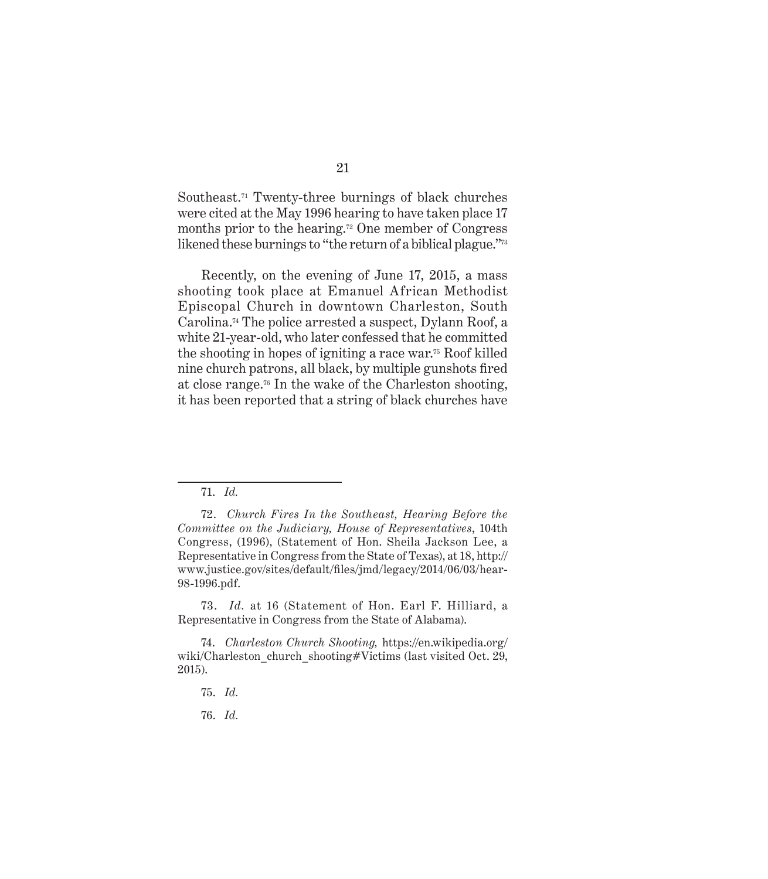Southeast.71 Twenty-three burnings of black churches were cited at the May 1996 hearing to have taken place 17 months prior to the hearing.72 One member of Congress likened these burnings to "the return of a biblical plague."<sup>73</sup>

Recently, on the evening of June 17, 2015, a mass shooting took place at Emanuel African Methodist Episcopal Church in downtown Charleston, South Carolina.74 The police arrested a suspect, Dylann Roof, a white 21-year-old, who later confessed that he committed the shooting in hopes of igniting a race war.75 Roof killed nine church patrons, all black, by multiple gunshots fired at close range.76 In the wake of the Charleston shooting, it has been reported that a string of black churches have

73. *Id.* at 16 (Statement of Hon. Earl F. Hilliard, a Representative in Congress from the State of Alabama).

<sup>71.</sup> *Id.*

<sup>72.</sup> *Church Fires In the Southeast, Hearing Before the Committee on the Judiciary, House of Representatives*, 104th Congress, (1996), (Statement of Hon. Sheila Jackson Lee, a Representative in Congress from the State of Texas), at 18, http:// www.justice.gov/sites/default/files/jmd/legacy/2014/06/03/hear-98-1996.pdf.

<sup>74.</sup> *Charleston Church Shooting,* https://en.wikipedia.org/ wiki/Charleston church shooting#Victims (last visited Oct. 29, 2015).

<sup>75.</sup> *Id.*

<sup>76.</sup> *Id.*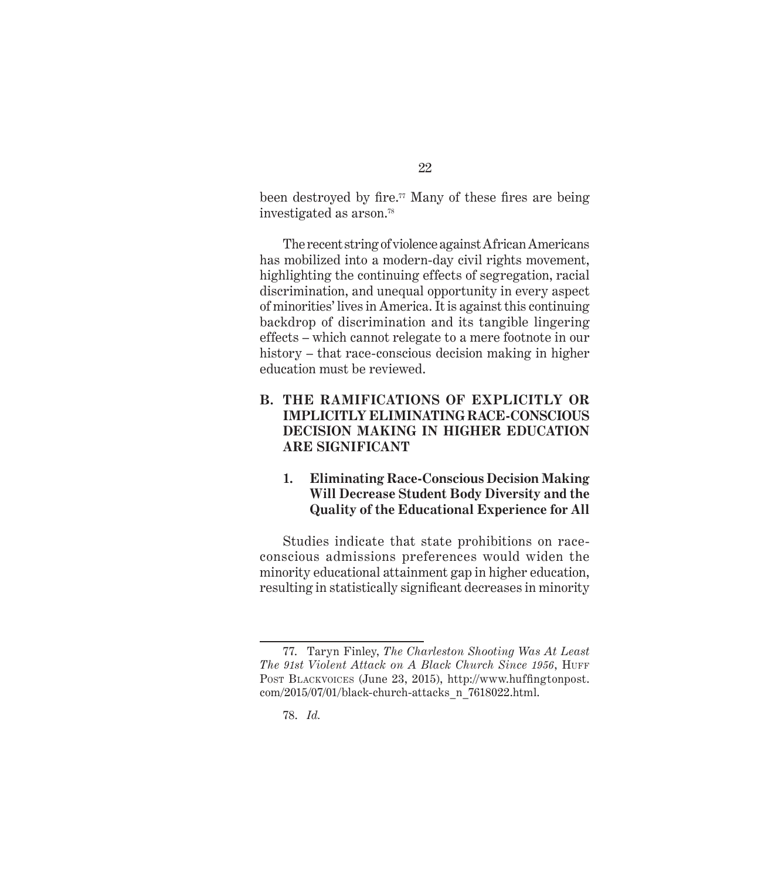been destroyed by fire.<sup>77</sup> Many of these fires are being investigated as arson.<sup>78</sup>

The recent string of violence against African Americans has mobilized into a modern-day civil rights movement, highlighting the continuing effects of segregation, racial discrimination, and unequal opportunity in every aspect of minorities' lives in America. It is against this continuing backdrop of discrimination and its tangible lingering effects – which cannot relegate to a mere footnote in our history – that race-conscious decision making in higher education must be reviewed.

#### **B. THE RAMIFICATIONS OF EXPLICITLY OR IMPLICITLY ELIMINATING RACE-CONSCIOUS DECISION MAKING IN HIGHER EDUCATION ARE SIGNIFICANT**

#### **1. Eliminating Race-Conscious Decision Making Will Decrease Student Body Diversity and the Quality of the Educational Experience for All**

Studies indicate that state prohibitions on raceconscious admissions preferences would widen the minority educational attainment gap in higher education, resulting in statistically significant decreases in minority

<sup>77.</sup> Taryn Finley, *The Charleston Shooting Was At Least*  The 91st Violent Attack on A Black Church Since 1956, HUFF Post Blackvoices (June 23, 2015), http://www.huffingtonpost. com/2015/07/01/black-church-attacks\_n\_7618022.html.

<sup>78.</sup> *Id.*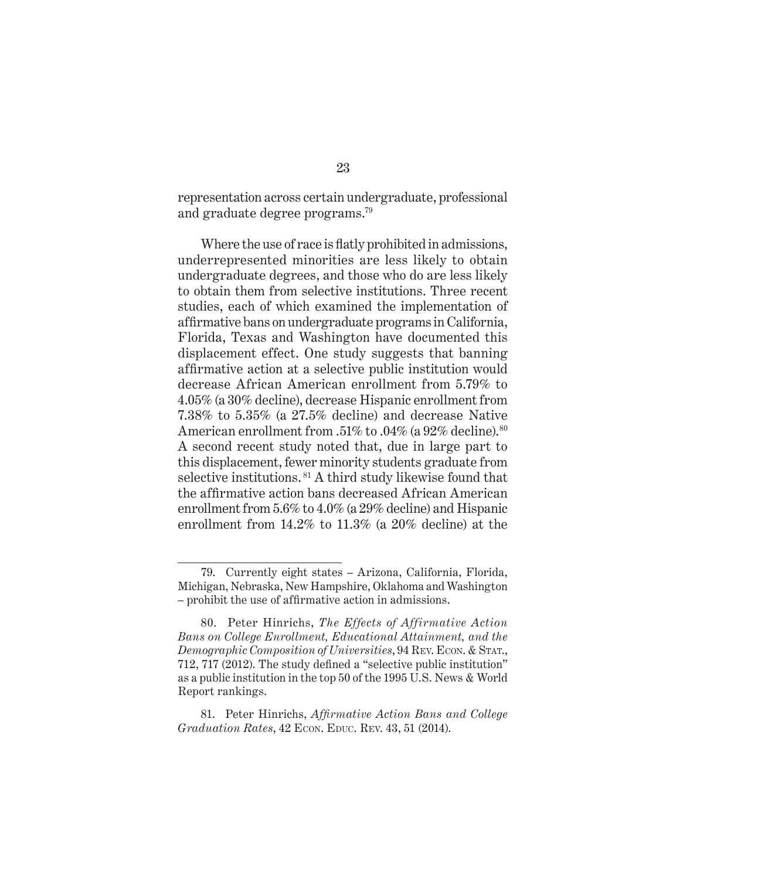representation across certain undergraduate, professional and graduate degree programs.<sup>79</sup>

Where the use of race is flatly prohibited in admissions, underrepresented minorities are less likely to obtain undergraduate degrees, and those who do are less likely to obtain them from selective institutions. Three recent studies, each of which examined the implementation of affirmative bans on undergraduate programs in California, Florida, Texas and Washington have documented this displacement effect. One study suggests that banning affirmative action at a selective public institution would decrease African American enrollment from 5.79% to 4.05% (a 30% decline), decrease Hispanic enrollment from 7.38% to 5.35% (a 27.5% decline) and decrease Native American enrollment from .51% to .04% (a 92% decline).<sup>80</sup> A second recent study noted that, due in large part to this displacement, fewer minority students graduate from selective institutions. 81 A third study likewise found that the affirmative action bans decreased African American enrollment from 5.6% to 4.0% (a 29% decline) and Hispanic enrollment from 14.2% to 11.3% (a 20% decline) at the

<sup>79.</sup> Currently eight states – Arizona, California, Florida, Michigan, Nebraska, New Hampshire, Oklahoma and Washington – prohibit the use of affirmative action in admissions.

<sup>80.</sup> Peter Hinrichs, *The Effects of Affirmative Action Bans on College Enrollment, Educational Attainment, and the Demographic Composition of Universities*, 94 Rev. Econ. & Stat., 712, 717 (2012). The study defined a "selective public institution" as a public institution in the top 50 of the 1995 U.S. News & World Report rankings.

<sup>81.</sup> Peter Hinrichs, *Affirmative Action Bans and College Graduation Rates*, 42 Econ. Educ. Rev. 43, 51 (2014).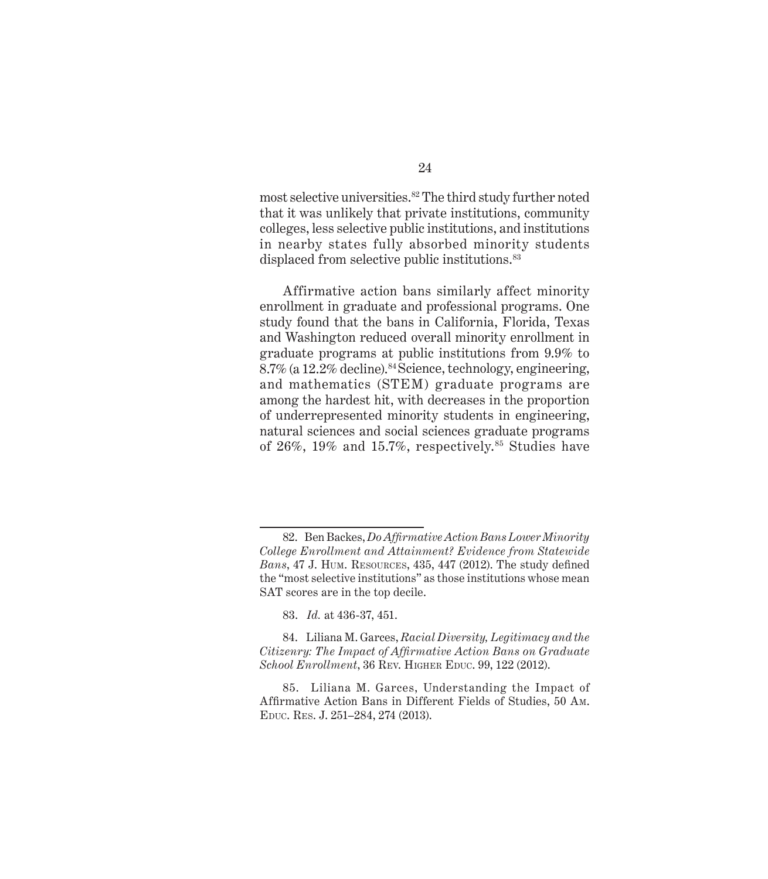most selective universities.<sup>82</sup> The third study further noted that it was unlikely that private institutions, community colleges, less selective public institutions, and institutions in nearby states fully absorbed minority students displaced from selective public institutions.<sup>83</sup>

Affirmative action bans similarly affect minority enrollment in graduate and professional programs. One study found that the bans in California, Florida, Texas and Washington reduced overall minority enrollment in graduate programs at public institutions from 9.9% to 8.7% (a 12.2% decline).<sup>84</sup> Science, technology, engineering, and mathematics (STEM) graduate programs are among the hardest hit, with decreases in the proportion of underrepresented minority students in engineering, natural sciences and social sciences graduate programs of 26%, 19% and 15.7%, respectively.<sup>85</sup> Studies have

<sup>82.</sup> Ben Backes, *Do Affirmative Action Bans Lower Minority College Enrollment and Attainment? Evidence from Statewide Bans*, 47 J. Hum. Resources, 435, 447 (2012). The study defined the "most selective institutions" as those institutions whose mean SAT scores are in the top decile.

<sup>83.</sup> *Id.* at 436-37, 451.

<sup>84.</sup> Liliana M. Garces, *Racial Diversity, Legitimacy and the Citizenry: The Impact of Affirmative Action Bans on Graduate School Enrollment*, 36 Rev. Higher Educ. 99, 122 (2012).

<sup>85.</sup> Liliana M. Garces, Understanding the Impact of Affirmative Action Bans in Different Fields of Studies, 50 Am. Educ. Res. J. 251–284, 274 (2013).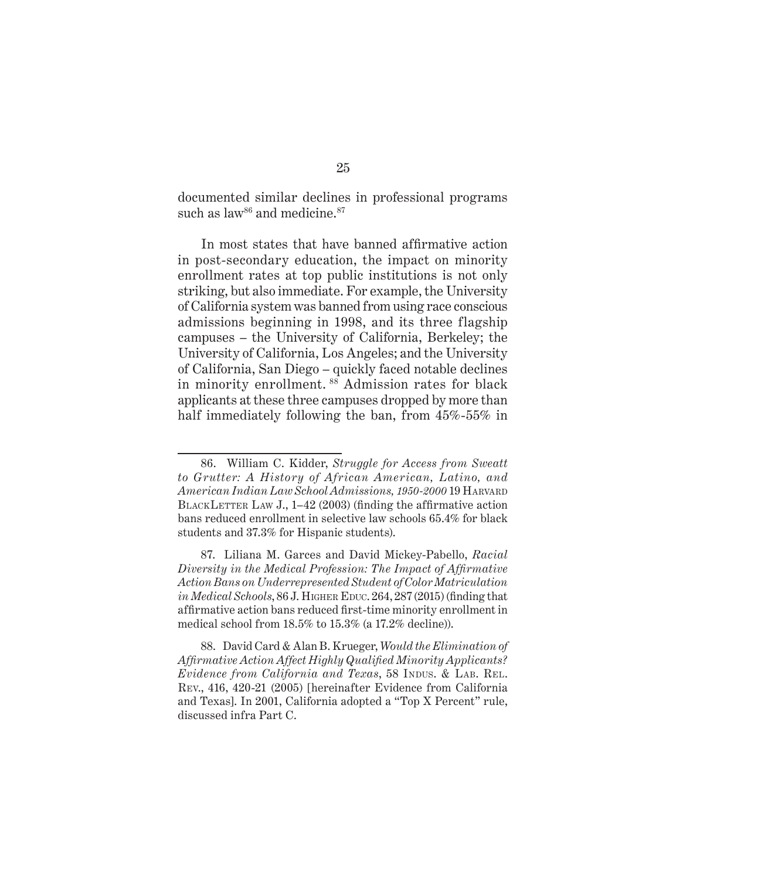documented similar declines in professional programs such as law<sup>86</sup> and medicine.<sup>87</sup>

In most states that have banned affirmative action in post-secondary education, the impact on minority enrollment rates at top public institutions is not only striking, but also immediate. For example, the University of California system was banned from using race conscious admissions beginning in 1998, and its three flagship campuses – the University of California, Berkeley; the University of California, Los Angeles; and the University of California, San Diego – quickly faced notable declines in minority enrollment. 88 Admission rates for black applicants at these three campuses dropped by more than half immediately following the ban, from 45%-55% in

88. David Card & Alan B. Krueger, *Would the Elimination of Affirmative Action Affect Highly Qualified Minority Applicants? Evidence from California and Texas*, 58 Indus. & LAB. REL. Rev., 416, 420-21 (2005) [hereinafter Evidence from California and Texas]. In 2001, California adopted a "Top X Percent" rule, discussed infra Part C.

<sup>86.</sup> William C. Kidder, *Struggle for Access from Sweatt to Grutter: A History of African American, Latino, and American Indian Law School Admissions, 1950-2000* 19 Harvard BLACKLETTER LAW J.,  $1-42$  (2003) (finding the affirmative action bans reduced enrollment in selective law schools 65.4% for black students and 37.3% for Hispanic students).

<sup>87.</sup> Liliana M. Garces and David Mickey-Pabello, *Racial Diversity in the Medical Profession: The Impact of Affirmative Action Bans on Underrepresented Student of Color Matriculation in Medical Schools*, 86 J. HIGHER EDUC. 264, 287 (2015) (finding that affirmative action bans reduced first-time minority enrollment in medical school from 18.5% to 15.3% (a 17.2% decline)).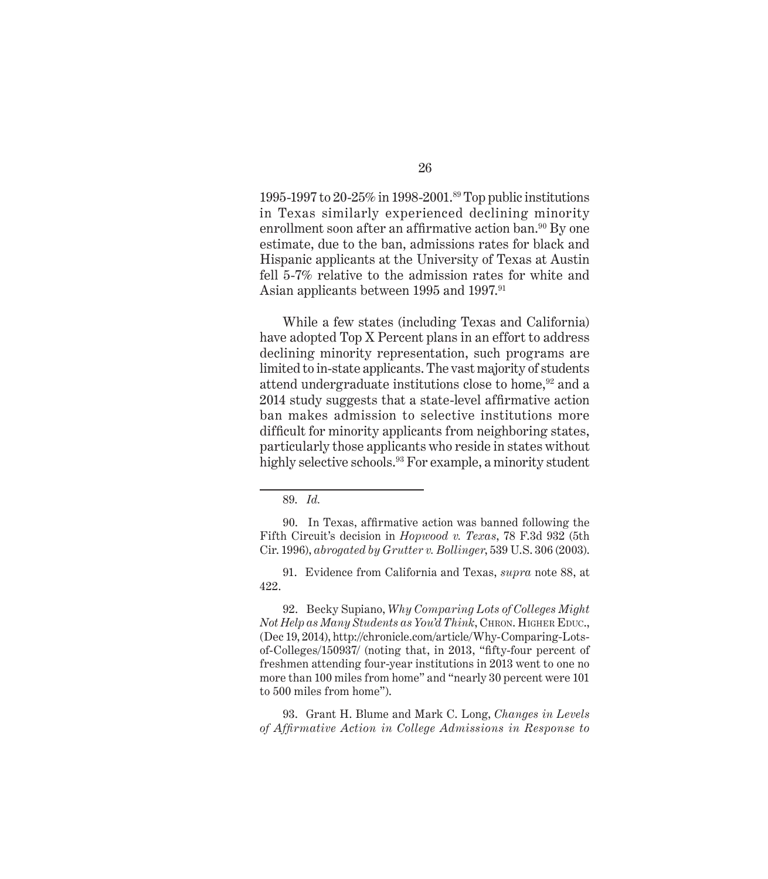1995-1997 to 20-25% in 1998-2001.89 Top public institutions in Texas similarly experienced declining minority enrollment soon after an affirmative action ban.<sup>90</sup> By one estimate, due to the ban, admissions rates for black and Hispanic applicants at the University of Texas at Austin fell 5-7% relative to the admission rates for white and Asian applicants between 1995 and 1997.<sup>91</sup>

While a few states (including Texas and California) have adopted Top X Percent plans in an effort to address declining minority representation, such programs are limited to in-state applicants. The vast majority of students attend undergraduate institutions close to home,<sup>92</sup> and a 2014 study suggests that a state-level affirmative action ban makes admission to selective institutions more difficult for minority applicants from neighboring states, particularly those applicants who reside in states without highly selective schools.<sup>93</sup> For example, a minority student

92. Becky Supiano, *Why Comparing Lots of Colleges Might Not Help as Many Students as You'd Think*, CHRON. HIGHER EDUC., (Dec 19, 2014), http://chronicle.com/article/Why-Comparing-Lotsof-Colleges/150937/ (noting that, in 2013, "fifty-four percent of freshmen attending four-year institutions in 2013 went to one no more than 100 miles from home" and "nearly 30 percent were 101 to 500 miles from home").

93. Grant H. Blume and Mark C. Long, *Changes in Levels of Affirmative Action in College Admissions in Response to* 

<sup>89.</sup> *Id.* 

<sup>90.</sup> In Texas, affirmative action was banned following the Fifth Circuit's decision in *Hopwood v. Texas*, 78 F.3d 932 (5th Cir. 1996), *abrogated by Grutter v. Bollinger*, 539 U.S. 306 (2003).

<sup>91.</sup> Evidence from California and Texas, *supra* note 88, at 422.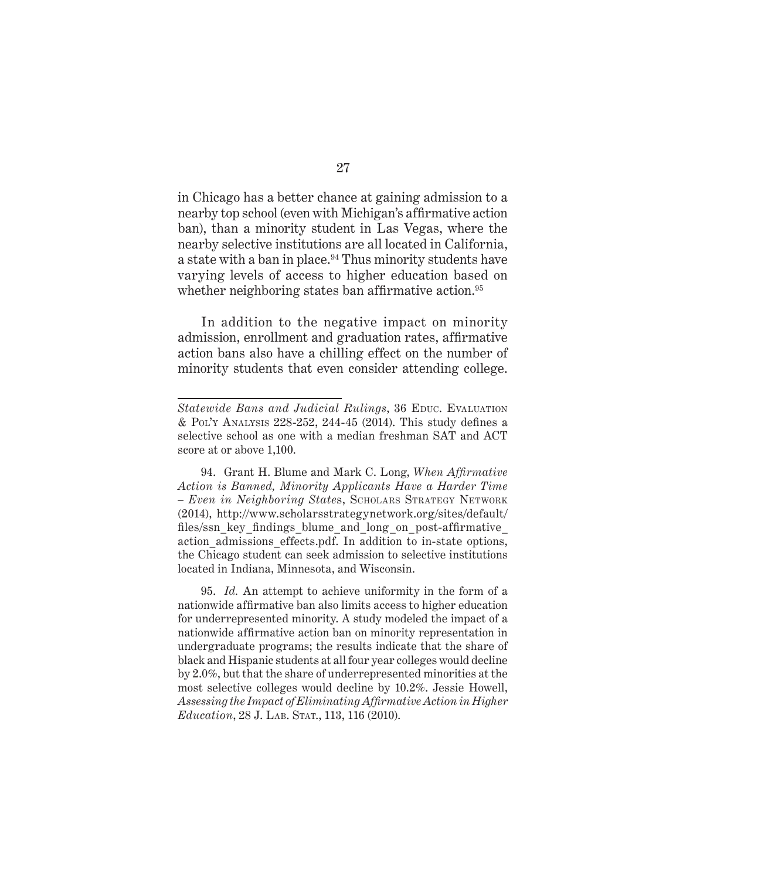in Chicago has a better chance at gaining admission to a nearby top school (even with Michigan's affirmative action ban), than a minority student in Las Vegas, where the nearby selective institutions are all located in California, a state with a ban in place.<sup>94</sup> Thus minority students have varying levels of access to higher education based on whether neighboring states ban affirmative action.<sup>95</sup>

In addition to the negative impact on minority admission, enrollment and graduation rates, affirmative action bans also have a chilling effect on the number of minority students that even consider attending college.

*Statewide Bans and Judicial Rulings*, 36 EDUC. EVALUATION & Pol'y Analysis 228-252, 244-45 (2014). This study defines a selective school as one with a median freshman SAT and ACT score at or above 1,100.

<sup>94.</sup> Grant H. Blume and Mark C. Long, *When Affirmative Action is Banned, Minority Applicants Have a Harder Time – Even in Neighboring State*s, Scholars Strategy Network (2014), http://www.scholarsstrategynetwork.org/sites/default/ files/ssn key findings blume and long on post-affirmative action admissions effects.pdf. In addition to in-state options, the Chicago student can seek admission to selective institutions located in Indiana, Minnesota, and Wisconsin.

<sup>95.</sup> *Id.* An attempt to achieve uniformity in the form of a nationwide affirmative ban also limits access to higher education for underrepresented minority. A study modeled the impact of a nationwide affirmative action ban on minority representation in undergraduate programs; the results indicate that the share of black and Hispanic students at all four year colleges would decline by 2.0%, but that the share of underrepresented minorities at the most selective colleges would decline by 10.2%. Jessie Howell, *Assessing the Impact of Eliminating Affirmative Action in Higher Education*, 28 J. LAB. STAT., 113, 116 (2010).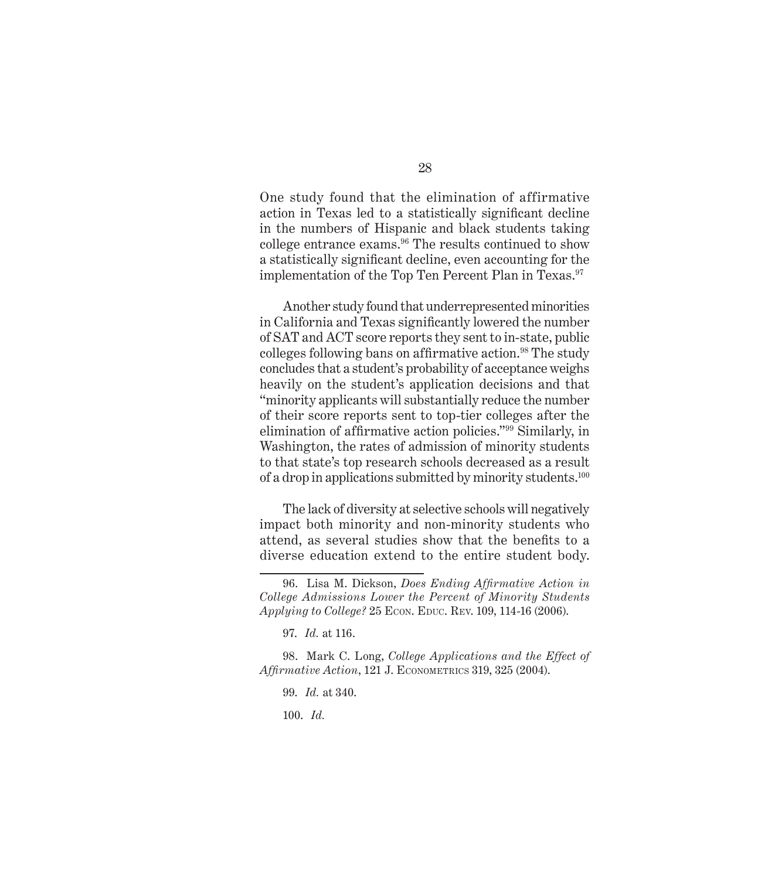One study found that the elimination of affirmative action in Texas led to a statistically significant decline in the numbers of Hispanic and black students taking college entrance exams.<sup>96</sup> The results continued to show a statistically significant decline, even accounting for the implementation of the Top Ten Percent Plan in Texas.<sup>97</sup>

Another study found that underrepresented minorities in California and Texas significantly lowered the number of SAT and ACT score reports they sent to in-state, public colleges following bans on affirmative action.<sup>98</sup> The study concludes that a student's probability of acceptance weighs heavily on the student's application decisions and that "minority applicants will substantially reduce the number of their score reports sent to top-tier colleges after the elimination of affirmative action policies."99 Similarly, in Washington, the rates of admission of minority students to that state's top research schools decreased as a result of a drop in applications submitted by minority students.<sup>100</sup>

The lack of diversity at selective schools will negatively impact both minority and non-minority students who attend, as several studies show that the benefits to a diverse education extend to the entire student body.

100. *Id.*

<sup>96.</sup> Lisa M. Dickson, *Does Ending Affirmative Action in College Admissions Lower the Percent of Minority Students Applying to College?* 25 Econ. Educ. Rev. 109, 114-16 (2006).

<sup>97.</sup> *Id.* at 116.

<sup>98.</sup> Mark C. Long, *College Applications and the Effect of*  Affirmative Action, 121 J. ECONOMETRICS 319, 325 (2004).

<sup>99.</sup> *Id.* at 340.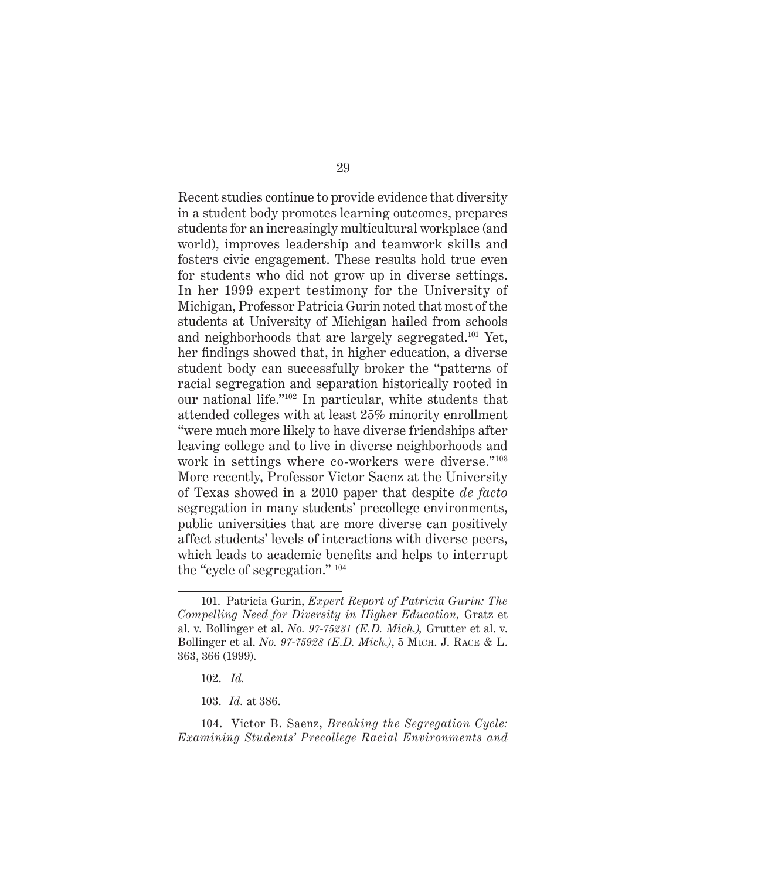Recent studies continue to provide evidence that diversity in a student body promotes learning outcomes, prepares students for an increasingly multicultural workplace (and world), improves leadership and teamwork skills and fosters civic engagement. These results hold true even for students who did not grow up in diverse settings. In her 1999 expert testimony for the University of Michigan, Professor Patricia Gurin noted that most of the students at University of Michigan hailed from schools and neighborhoods that are largely segregated.101 Yet, her findings showed that, in higher education, a diverse student body can successfully broker the "patterns of racial segregation and separation historically rooted in our national life."102 In particular, white students that attended colleges with at least 25% minority enrollment "were much more likely to have diverse friendships after leaving college and to live in diverse neighborhoods and work in settings where co-workers were diverse."<sup>103</sup> More recently, Professor Victor Saenz at the University of Texas showed in a 2010 paper that despite *de facto* segregation in many students' precollege environments, public universities that are more diverse can positively affect students' levels of interactions with diverse peers, which leads to academic benefits and helps to interrupt the "cycle of segregation." <sup>104</sup>

104. Victor B. Saenz, *Breaking the Segregation Cycle: Examining Students' Precollege Racial Environments and* 

<sup>101.</sup> Patricia Gurin, *Expert Report of Patricia Gurin: The Compelling Need for Diversity in Higher Education,* Gratz et al. v. Bollinger et al. *No. 97-75231 (E.D. Mich.),* Grutter et al. v. Bollinger et al. *No. 97-75928 (E.D. Mich.)*, 5 Mich. J. Race & L. 363, 366 (1999).

<sup>102.</sup> *Id.*

<sup>103.</sup> *Id.* at 386.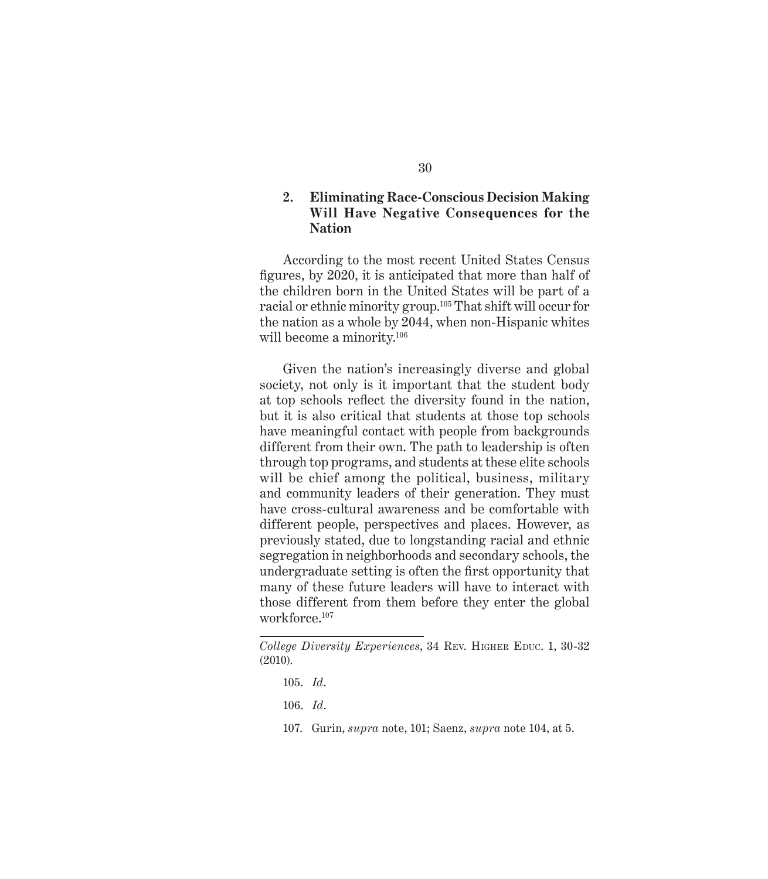#### **2. Eliminating Race-Conscious Decision Making Will Have Negative Consequences for the Nation**

According to the most recent United States Census figures, by 2020, it is anticipated that more than half of the children born in the United States will be part of a racial or ethnic minority group.105 That shift will occur for the nation as a whole by 2044, when non-Hispanic whites will become a minority.<sup>106</sup>

Given the nation's increasingly diverse and global society, not only is it important that the student body at top schools reflect the diversity found in the nation, but it is also critical that students at those top schools have meaningful contact with people from backgrounds different from their own. The path to leadership is often through top programs, and students at these elite schools will be chief among the political, business, military and community leaders of their generation. They must have cross-cultural awareness and be comfortable with different people, perspectives and places. However, as previously stated, due to longstanding racial and ethnic segregation in neighborhoods and secondary schools, the undergraduate setting is often the first opportunity that many of these future leaders will have to interact with those different from them before they enter the global workforce.<sup>107</sup>

107. Gurin, *supra* note, 101; Saenz, *supra* note 104, at 5.

*College Diversity Experiences*, 34 Rev. HIGHER EDUC. 1, 30-32 (2010).

<sup>105.</sup> *Id*.

<sup>106.</sup> *Id*.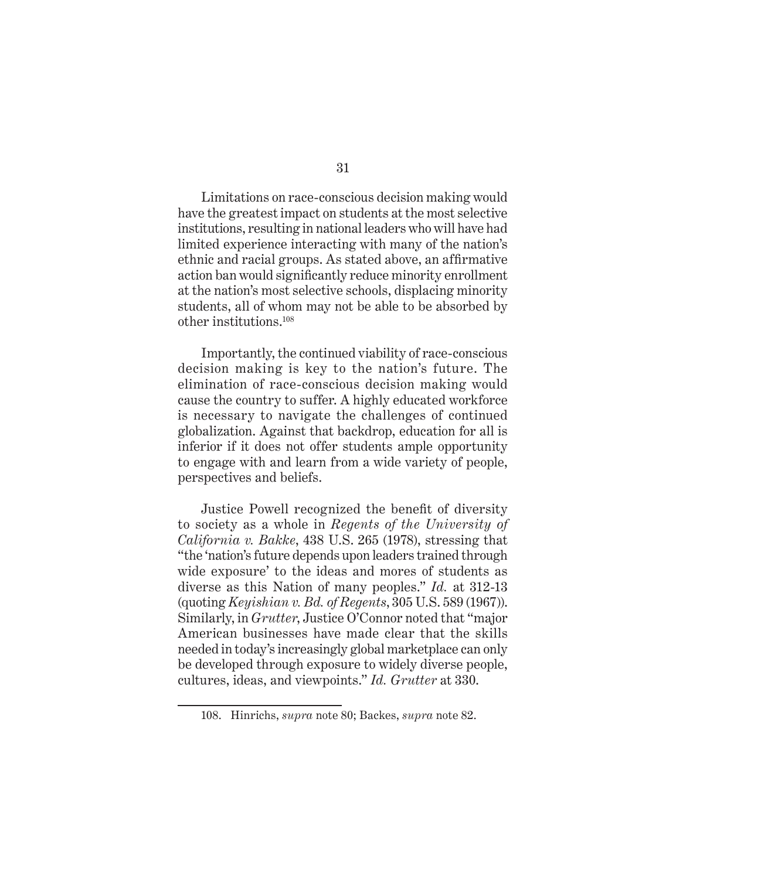Limitations on race-conscious decision making would have the greatest impact on students at the most selective institutions, resulting in national leaders who will have had limited experience interacting with many of the nation's ethnic and racial groups. As stated above, an affirmative action ban would significantly reduce minority enrollment at the nation's most selective schools, displacing minority students, all of whom may not be able to be absorbed by other institutions.108

Importantly, the continued viability of race-conscious decision making is key to the nation's future. The elimination of race-conscious decision making would cause the country to suffer. A highly educated workforce is necessary to navigate the challenges of continued globalization. Against that backdrop, education for all is inferior if it does not offer students ample opportunity to engage with and learn from a wide variety of people, perspectives and beliefs.

Justice Powell recognized the benefit of diversity to society as a whole in *Regents of the University of California v. Bakke*, 438 U.S. 265 (1978), stressing that "the 'nation's future depends upon leaders trained through wide exposure' to the ideas and mores of students as diverse as this Nation of many peoples." *Id.* at 312-13 (quoting *Keyishian v. Bd. of Regents*, 305 U.S. 589 (1967)). Similarly, in *Grutter*, Justice O'Connor noted that "major American businesses have made clear that the skills needed in today's increasingly global marketplace can only be developed through exposure to widely diverse people, cultures, ideas, and viewpoints." *Id. Grutter* at 330.

<sup>108.</sup> Hinrichs, *supra* note 80; Backes, *supra* note 82.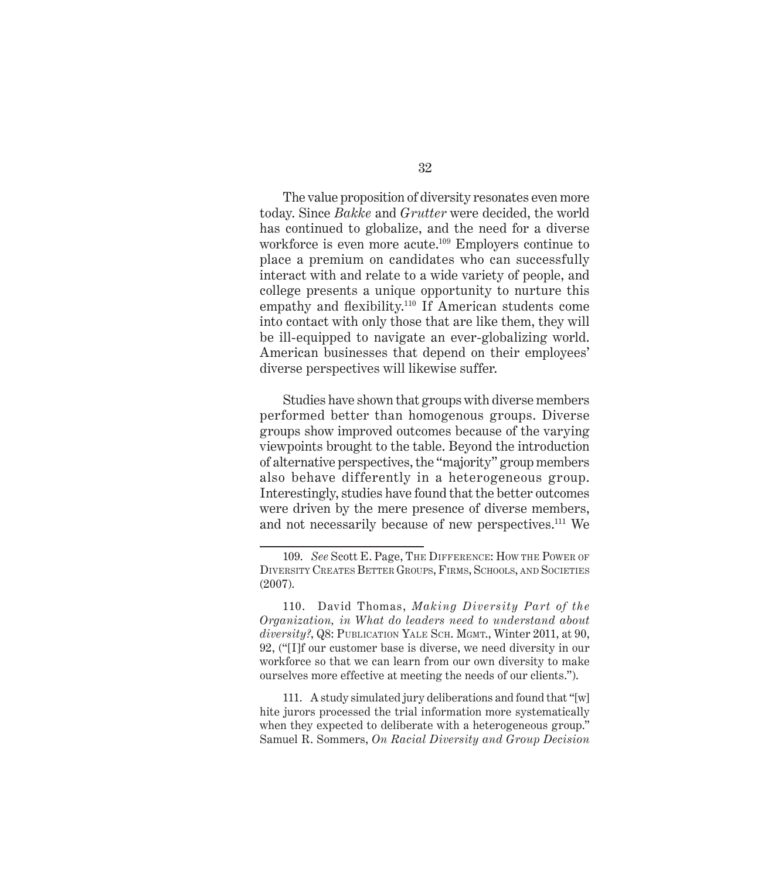The value proposition of diversity resonates even more today. Since *Bakke* and *Grutter* were decided, the world has continued to globalize, and the need for a diverse workforce is even more acute.<sup>109</sup> Employers continue to place a premium on candidates who can successfully interact with and relate to a wide variety of people, and college presents a unique opportunity to nurture this empathy and flexibility.<sup>110</sup> If American students come into contact with only those that are like them, they will be ill-equipped to navigate an ever-globalizing world. American businesses that depend on their employees' diverse perspectives will likewise suffer.

Studies have shown that groups with diverse members performed better than homogenous groups. Diverse groups show improved outcomes because of the varying viewpoints brought to the table. Beyond the introduction of alternative perspectives, the "majority" group members also behave differently in a heterogeneous group. Interestingly, studies have found that the better outcomes were driven by the mere presence of diverse members, and not necessarily because of new perspectives.<sup>111</sup> We

111. A study simulated jury deliberations and found that "[w] hite jurors processed the trial information more systematically when they expected to deliberate with a heterogeneous group." Samuel R. Sommers, *On Racial Diversity and Group Decision* 

<sup>109.</sup> *See* Scott E. Page, The Difference: How the Power of Diversity Creates Better Groups, Firms, Schools, and Societies (2007).

<sup>110.</sup> David Thomas, *Making Diversity Part of the Organization, in What do leaders need to understand about diversity?*, Q8: Publication Yale Sch. Mgmt., Winter 2011, at 90, 92, ("[I]f our customer base is diverse, we need diversity in our workforce so that we can learn from our own diversity to make ourselves more effective at meeting the needs of our clients.").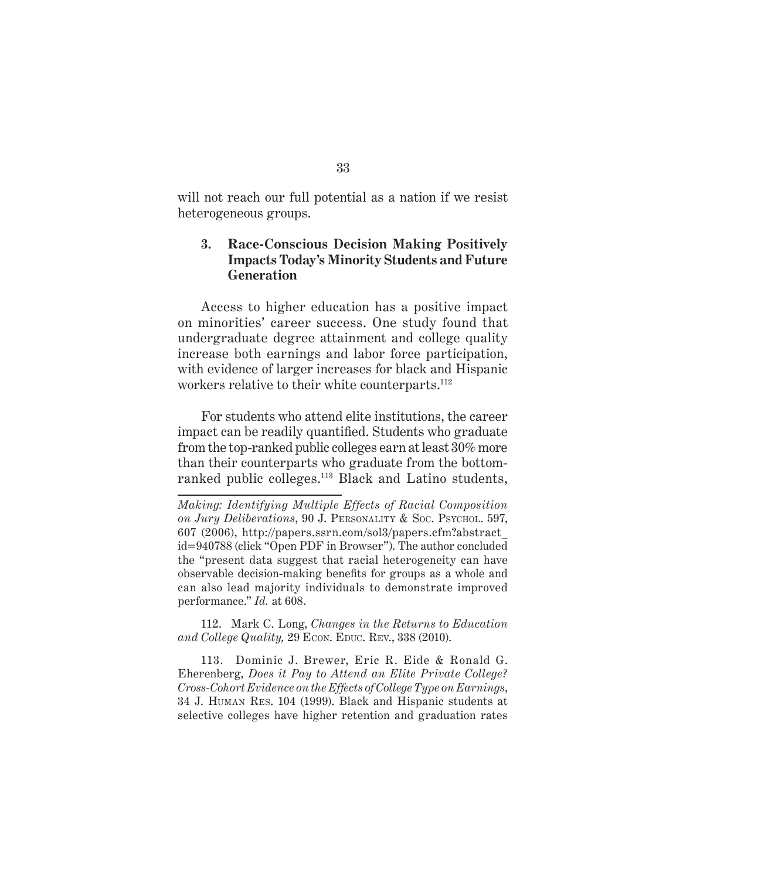will not reach our full potential as a nation if we resist heterogeneous groups.

#### **3. Race-Conscious Decision Making Positively Impacts Today's Minority Students and Future Generation**

Access to higher education has a positive impact on minorities' career success. One study found that undergraduate degree attainment and college quality increase both earnings and labor force participation, with evidence of larger increases for black and Hispanic workers relative to their white counterparts.<sup>112</sup>

For students who attend elite institutions, the career impact can be readily quantified. Students who graduate from the top-ranked public colleges earn at least 30% more than their counterparts who graduate from the bottomranked public colleges.113 Black and Latino students,

*Making: Identifying Multiple Effects of Racial Composition on Jury Deliberations*, 90 J. Personality & Soc. Psychol. 597, 607 (2006), http://papers.ssrn.com/sol3/papers.cfm?abstract\_ id=940788 (click "Open PDF in Browser"). The author concluded the "present data suggest that racial heterogeneity can have observable decision-making benefits for groups as a whole and can also lead majority individuals to demonstrate improved performance." *Id.* at 608.

112. Mark C. Long, *Changes in the Returns to Education and College Quality, 29 Econ. Educ. Rev., 338 (2010).* 

113. Dominic J. Brewer, Eric R. Eide & Ronald G. Eherenberg, *Does it Pay to Attend an Elite Private College? Cross-Cohort Evidence on the Effects of College Type on Earnings*, 34 J. Human Res. 104 (1999). Black and Hispanic students at selective colleges have higher retention and graduation rates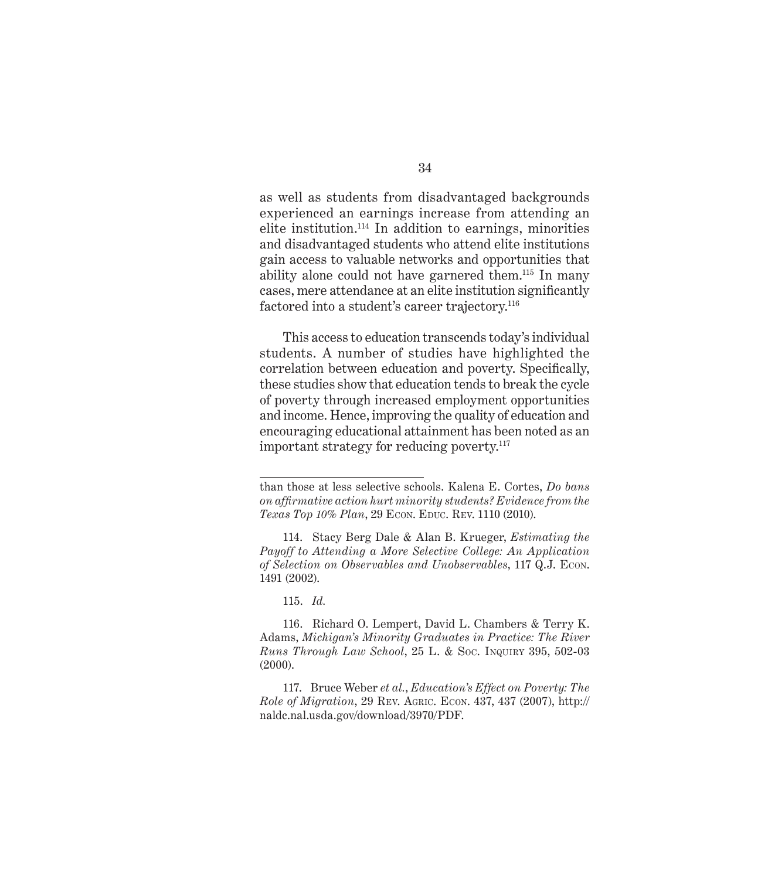as well as students from disadvantaged backgrounds experienced an earnings increase from attending an elite institution.114 In addition to earnings, minorities and disadvantaged students who attend elite institutions gain access to valuable networks and opportunities that ability alone could not have garnered them.115 In many cases, mere attendance at an elite institution significantly factored into a student's career trajectory.<sup>116</sup>

This access to education transcends today's individual students. A number of studies have highlighted the correlation between education and poverty. Specifically, these studies show that education tends to break the cycle of poverty through increased employment opportunities and income. Hence, improving the quality of education and encouraging educational attainment has been noted as an important strategy for reducing poverty.<sup>117</sup>

115. *Id.*

than those at less selective schools. Kalena E. Cortes, *Do bans on affirmative action hurt minority students? Evidence from the Texas Top 10% Plan*, 29 Econ. Educ. Rev. 1110 (2010).

<sup>114.</sup> Stacy Berg Dale & Alan B. Krueger, *Estimating the Payoff to Attending a More Selective College: An Application of Selection on Observables and Unobservables*, 117 Q.J. Econ. 1491 (2002).

<sup>116.</sup> Richard O. Lempert, David L. Chambers & Terry K. Adams, *Michigan's Minority Graduates in Practice: The River Runs Through Law School*, 25 L. & Soc. Inquiry 395, 502-03 (2000).

<sup>117.</sup> Bruce Weber *et al.*, *Education's Effect on Poverty: The Role of Migration*, 29 Rev. Agric. Econ. 437, 437 (2007), http:// naldc.nal.usda.gov/download/3970/PDF.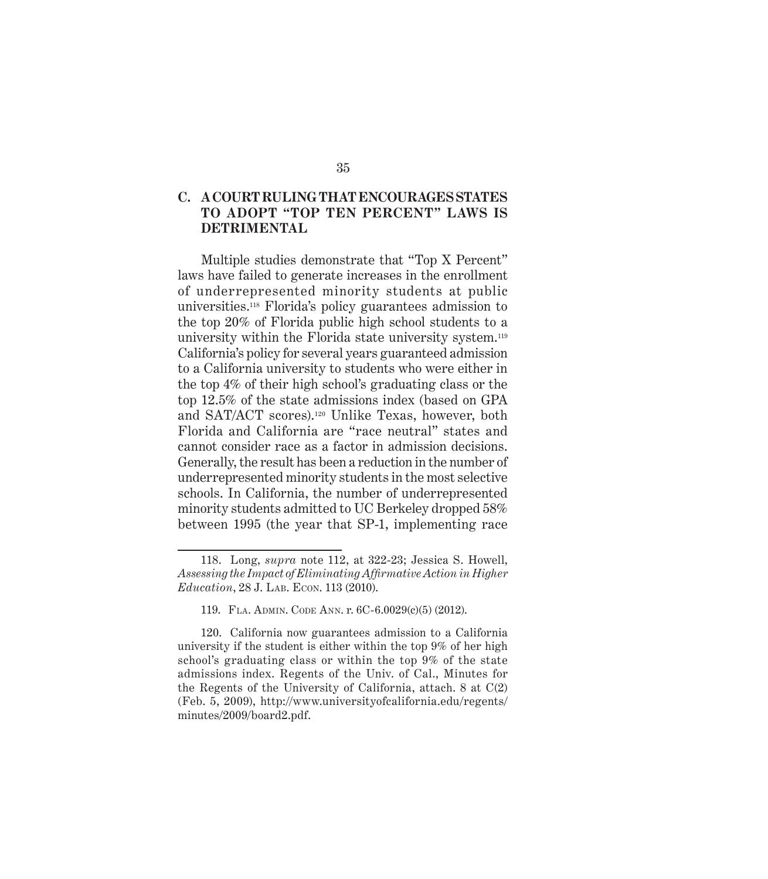#### **C. A COURT RULING THAT ENCOURAGES STATES TO ADOPT "TOP TEN PERCENT" LAWS IS DETRIMENTAL**

Multiple studies demonstrate that "Top X Percent" laws have failed to generate increases in the enrollment of underrepresented minority students at public universities.118 Florida's policy guarantees admission to the top 20% of Florida public high school students to a university within the Florida state university system.119 California's policy for several years guaranteed admission to a California university to students who were either in the top 4% of their high school's graduating class or the top 12.5% of the state admissions index (based on GPA and SAT/ACT scores).120 Unlike Texas, however, both Florida and California are "race neutral" states and cannot consider race as a factor in admission decisions. Generally, the result has been a reduction in the number of underrepresented minority students in the most selective schools. In California, the number of underrepresented minority students admitted to UC Berkeley dropped 58% between 1995 (the year that SP-1, implementing race

<sup>118.</sup> Long, *supra* note 112, at 322-23; Jessica S. Howell, *Assessing the Impact of Eliminating Affirmative Action in Higher Education*, 28 J. LAB. ECON. 113 (2010).

<sup>119.</sup> Fla. Admin. Code Ann. r. 6C-6.0029(c)(5) (2012).

<sup>120.</sup> California now guarantees admission to a California university if the student is either within the top 9% of her high school's graduating class or within the top 9% of the state admissions index. Regents of the Univ. of Cal., Minutes for the Regents of the University of California, attach. 8 at C(2) (Feb. 5, 2009), http://www.universityofcalifornia.edu/regents/ minutes/2009/board2.pdf.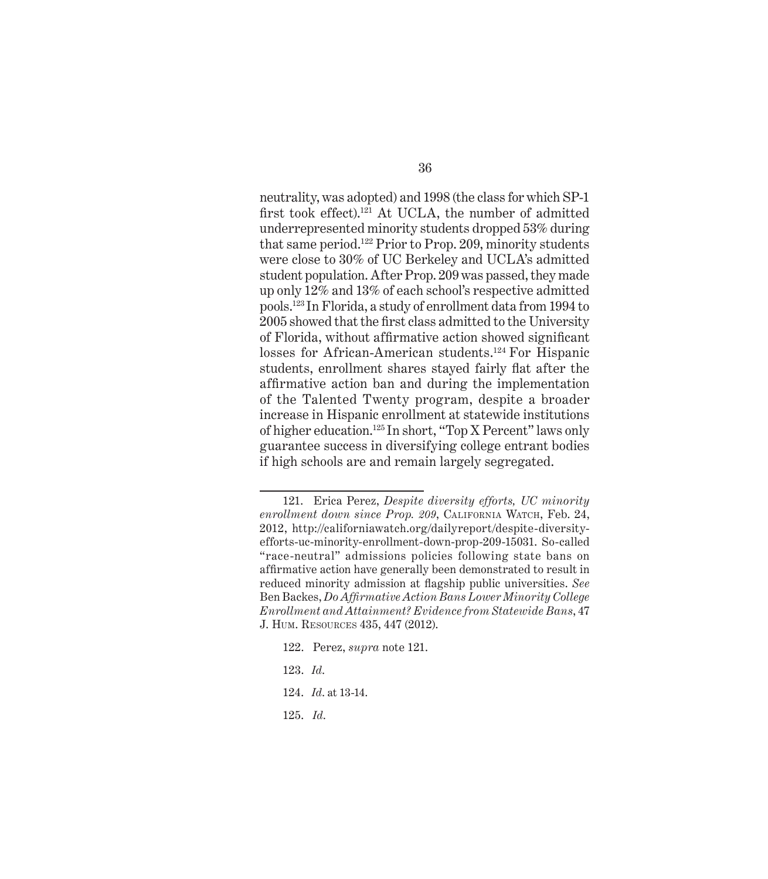neutrality, was adopted) and 1998 (the class for which SP-1 first took effect).<sup>121</sup> At UCLA, the number of admitted underrepresented minority students dropped 53% during that same period.122 Prior to Prop. 209, minority students were close to 30% of UC Berkeley and UCLA's admitted student population. After Prop. 209 was passed, they made up only 12% and 13% of each school's respective admitted pools.123 In Florida, a study of enrollment data from 1994 to 2005 showed that the first class admitted to the University of Florida, without affirmative action showed significant losses for African-American students.<sup>124</sup> For Hispanic students, enrollment shares stayed fairly flat after the affirmative action ban and during the implementation of the Talented Twenty program, despite a broader increase in Hispanic enrollment at statewide institutions of higher education.125 In short, "Top X Percent" laws only guarantee success in diversifying college entrant bodies if high schools are and remain largely segregated.

- 122. Perez, *supra* note 121.
- 123. *Id*.
- 124. *Id*. at 13-14.
- 125. *Id*.

<sup>121.</sup> Erica Perez, *Despite diversity efforts, UC minority enrollment down since Prop. 209*, California Watch, Feb. 24, 2012, http://californiawatch.org/dailyreport/despite-diversityefforts-uc-minority-enrollment-down-prop-209-15031. So-called "race-neutral" admissions policies following state bans on affirmative action have generally been demonstrated to result in reduced minority admission at flagship public universities. *See* Ben Backes, *Do Affirmative Action Bans Lower Minority College Enrollment and Attainment? Evidence from Statewide Bans*, 47 J. Hum. Resources 435, 447 (2012).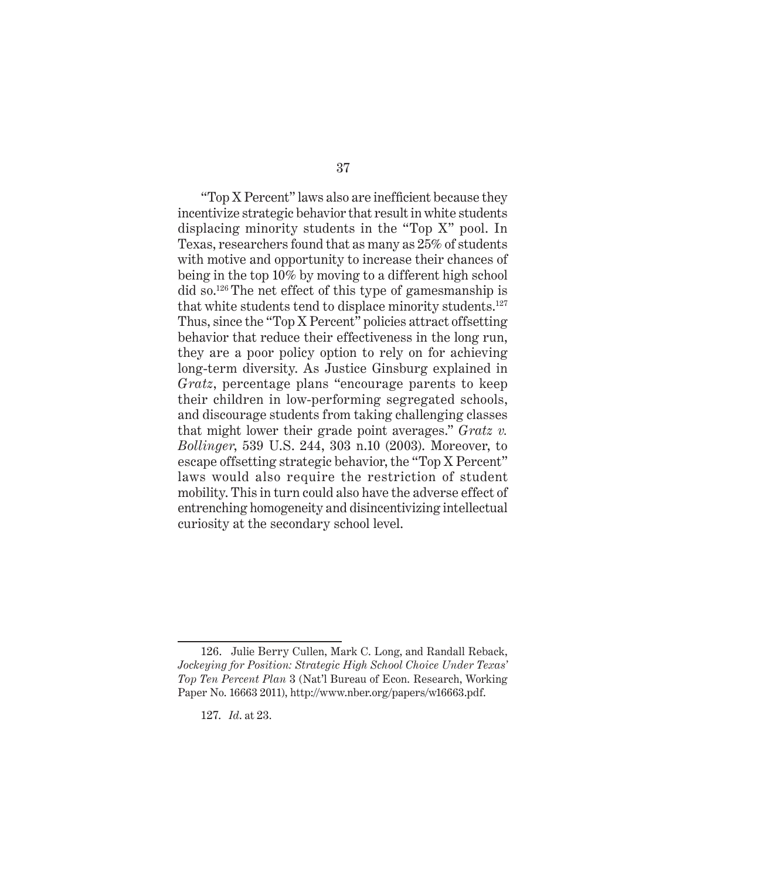"Top X Percent" laws also are inefficient because they incentivize strategic behavior that result in white students displacing minority students in the "Top X" pool. In Texas, researchers found that as many as 25% of students with motive and opportunity to increase their chances of being in the top 10% by moving to a different high school did so.126 The net effect of this type of gamesmanship is that white students tend to displace minority students.127 Thus, since the "Top X Percent" policies attract offsetting behavior that reduce their effectiveness in the long run, they are a poor policy option to rely on for achieving long-term diversity. As Justice Ginsburg explained in *Gratz*, percentage plans "encourage parents to keep their children in low-performing segregated schools, and discourage students from taking challenging classes that might lower their grade point averages." *Gratz v. Bollinger*, 539 U.S. 244, 303 n.10 (2003). Moreover, to escape offsetting strategic behavior, the "Top X Percent" laws would also require the restriction of student mobility. This in turn could also have the adverse effect of entrenching homogeneity and disincentivizing intellectual curiosity at the secondary school level.

<sup>126.</sup> Julie Berry Cullen, Mark C. Long, and Randall Reback, *Jockeying for Position: Strategic High School Choice Under Texas' Top Ten Percent Plan* 3 (Nat'l Bureau of Econ. Research, Working Paper No. 16663 2011), http://www.nber.org/papers/w16663.pdf.

<sup>127.</sup> *Id*. at 23.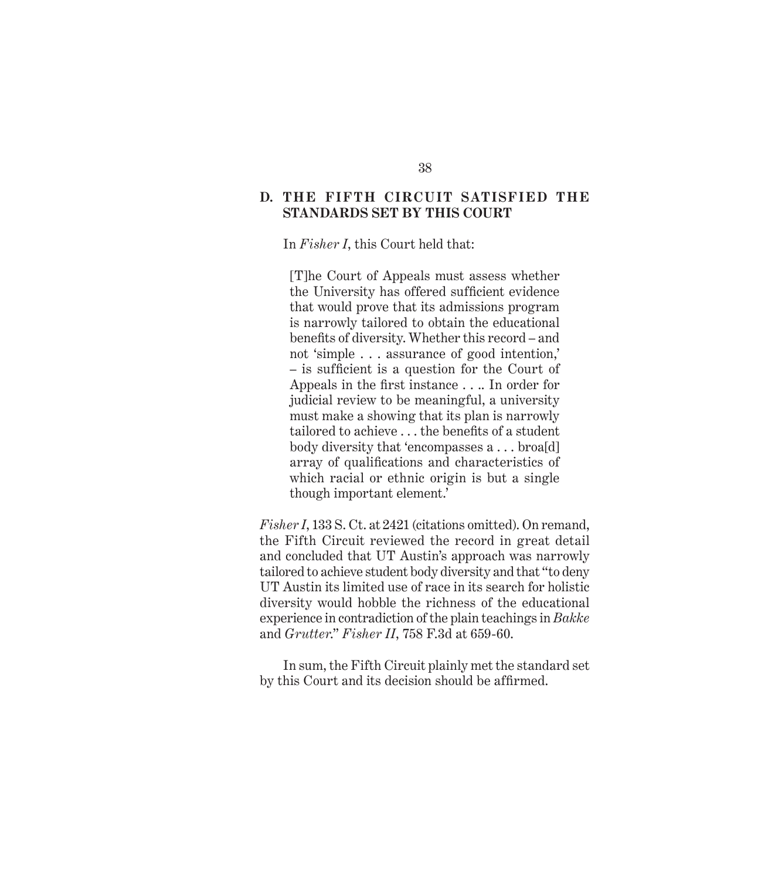#### **D. THE FIFTH CIRCUIT SATISFIED THE STANDARDS SET BY THIS COURT**

In *Fisher I*, this Court held that:

[T]he Court of Appeals must assess whether the University has offered sufficient evidence that would prove that its admissions program is narrowly tailored to obtain the educational benefits of diversity. Whether this record – and not 'simple . . . assurance of good intention,' – is sufficient is a question for the Court of Appeals in the first instance . . .. In order for judicial review to be meaningful, a university must make a showing that its plan is narrowly tailored to achieve . . . the benefits of a student body diversity that 'encompasses a . . . broa[d] array of qualifications and characteristics of which racial or ethnic origin is but a single though important element.'

*Fisher I*, 133 S. Ct. at 2421 (citations omitted). On remand, the Fifth Circuit reviewed the record in great detail and concluded that UT Austin's approach was narrowly tailored to achieve student body diversity and that "to deny UT Austin its limited use of race in its search for holistic diversity would hobble the richness of the educational experience in contradiction of the plain teachings in *Bakke* and *Grutter*." *Fisher II*, 758 F.3d at 659-60.

In sum, the Fifth Circuit plainly met the standard set by this Court and its decision should be affirmed.